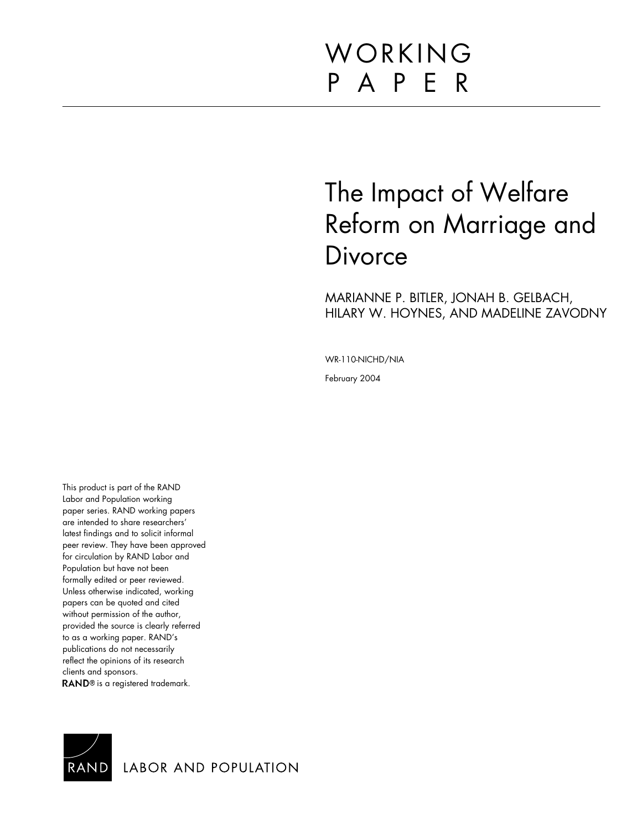# WORKING P A P E R

# The Impact of Welfare Reform on Marriage and **Divorce**

MARIANNE P. BITLER, JONAH B. GELBACH, HILARY W. HOYNES, AND MADELINE ZAVODNY

WR-110-NICHD/NIA

February 2004

This product is part of the RAND Labor and Population working paper series. RAND working papers are intended to share researchers' latest findings and to solicit informal peer review. They have been approved for circulation by RAND Labor and Population but have not been formally edited or peer reviewed. Unless otherwise indicated, working papers can be quoted and cited without permission of the author, provided the source is clearly referred to as a working paper. RAND's publications do not necessarily reflect the opinions of its research clients and sponsors. RAND® is a registered trademark.



LABOR AND POPULATION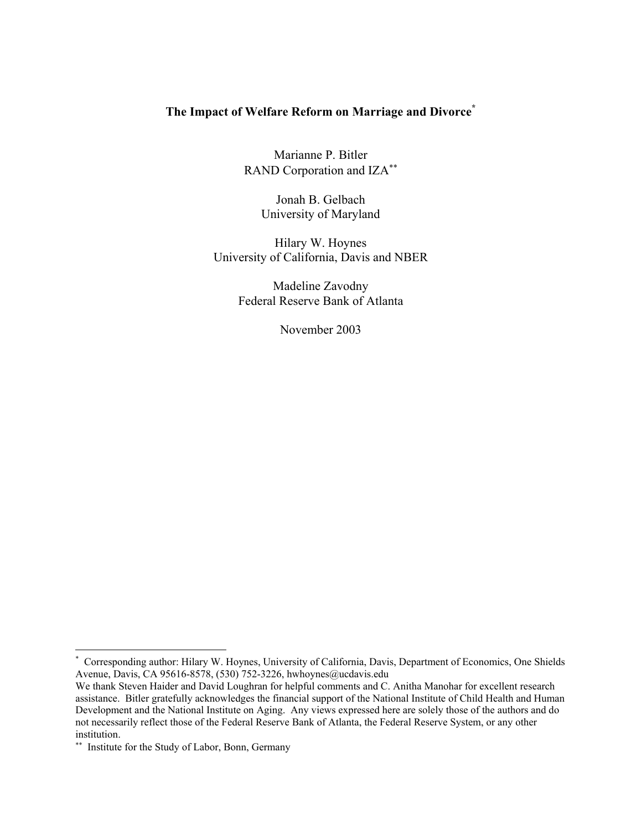# **The Impact of Welfare Reform on Marriage and Divorce\***

Marianne P. Bitler RAND Corporation and IZA<sup>\*\*</sup>

> Jonah B. Gelbach University of Maryland

Hilary W. Hoynes University of California, Davis and NBER

> Madeline Zavodny Federal Reserve Bank of Atlanta

> > November 2003

 $\overline{\phantom{a}}$ 

<sup>\*</sup> Corresponding author: Hilary W. Hoynes, University of California, Davis, Department of Economics, One Shields Avenue, Davis, CA 95616-8578, (530) 752-3226, hwhoynes@ucdavis.edu

We thank Steven Haider and David Loughran for helpful comments and C. Anitha Manohar for excellent research assistance. Bitler gratefully acknowledges the financial support of the National Institute of Child Health and Human Development and the National Institute on Aging. Any views expressed here are solely those of the authors and do not necessarily reflect those of the Federal Reserve Bank of Atlanta, the Federal Reserve System, or any other institution.

<sup>∗∗</sup> Institute for the Study of Labor, Bonn, Germany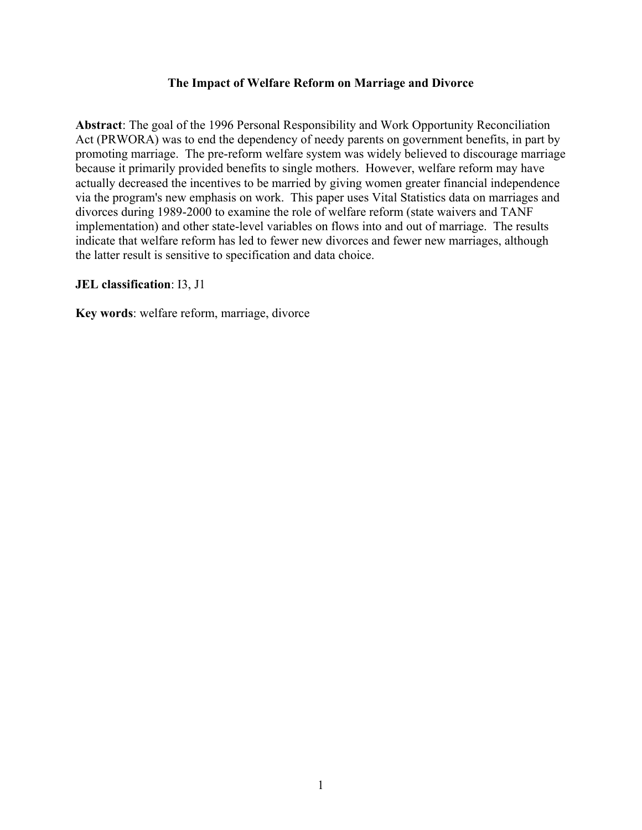## **The Impact of Welfare Reform on Marriage and Divorce**

**Abstract**: The goal of the 1996 Personal Responsibility and Work Opportunity Reconciliation Act (PRWORA) was to end the dependency of needy parents on government benefits, in part by promoting marriage. The pre-reform welfare system was widely believed to discourage marriage because it primarily provided benefits to single mothers. However, welfare reform may have actually decreased the incentives to be married by giving women greater financial independence via the program's new emphasis on work. This paper uses Vital Statistics data on marriages and divorces during 1989-2000 to examine the role of welfare reform (state waivers and TANF implementation) and other state-level variables on flows into and out of marriage. The results indicate that welfare reform has led to fewer new divorces and fewer new marriages, although the latter result is sensitive to specification and data choice.

#### **JEL classification**: I3, J1

**Key words**: welfare reform, marriage, divorce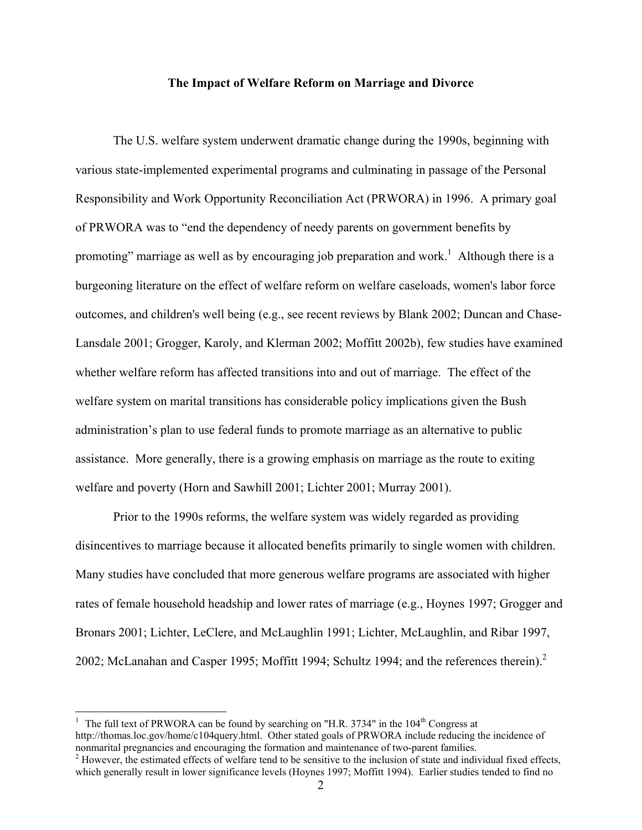#### **The Impact of Welfare Reform on Marriage and Divorce**

The U.S. welfare system underwent dramatic change during the 1990s, beginning with various state-implemented experimental programs and culminating in passage of the Personal Responsibility and Work Opportunity Reconciliation Act (PRWORA) in 1996. A primary goal of PRWORA was to "end the dependency of needy parents on government benefits by promoting" marriage as well as by encouraging job preparation and work.<sup>1</sup> Although there is a burgeoning literature on the effect of welfare reform on welfare caseloads, women's labor force outcomes, and children's well being (e.g., see recent reviews by Blank 2002; Duncan and Chase-Lansdale 2001; Grogger, Karoly, and Klerman 2002; Moffitt 2002b), few studies have examined whether welfare reform has affected transitions into and out of marriage. The effect of the welfare system on marital transitions has considerable policy implications given the Bush administration's plan to use federal funds to promote marriage as an alternative to public assistance. More generally, there is a growing emphasis on marriage as the route to exiting welfare and poverty (Horn and Sawhill 2001; Lichter 2001; Murray 2001).

 Prior to the 1990s reforms, the welfare system was widely regarded as providing disincentives to marriage because it allocated benefits primarily to single women with children. Many studies have concluded that more generous welfare programs are associated with higher rates of female household headship and lower rates of marriage (e.g., Hoynes 1997; Grogger and Bronars 2001; Lichter, LeClere, and McLaughlin 1991; Lichter, McLaughlin, and Ribar 1997, 2002; McLanahan and Casper 1995; Moffitt 1994; Schultz 1994; and the references therein). $2$ 

<sup>&</sup>lt;sup>1</sup> The full text of PRWORA can be found by searching on "H.R. 3734" in the  $104<sup>th</sup>$  Congress at http://thomas.loc.gov/home/c104query.html. Other stated goals of PRWORA include reducing the incidence of nonmarital pregnancies and encouraging the formation and maintenance of two-parent families.

 $2$  However, the estimated effects of welfare tend to be sensitive to the inclusion of state and individual fixed effects, which generally result in lower significance levels (Hoynes 1997; Moffitt 1994). Earlier studies tended to find no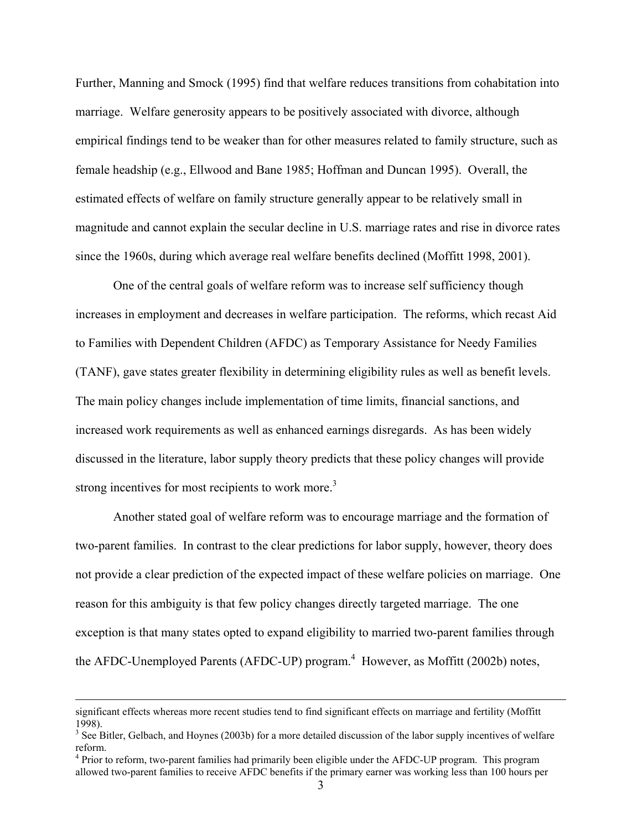Further, Manning and Smock (1995) find that welfare reduces transitions from cohabitation into marriage. Welfare generosity appears to be positively associated with divorce, although empirical findings tend to be weaker than for other measures related to family structure, such as female headship (e.g., Ellwood and Bane 1985; Hoffman and Duncan 1995). Overall, the estimated effects of welfare on family structure generally appear to be relatively small in magnitude and cannot explain the secular decline in U.S. marriage rates and rise in divorce rates since the 1960s, during which average real welfare benefits declined (Moffitt 1998, 2001).

One of the central goals of welfare reform was to increase self sufficiency though increases in employment and decreases in welfare participation. The reforms, which recast Aid to Families with Dependent Children (AFDC) as Temporary Assistance for Needy Families (TANF), gave states greater flexibility in determining eligibility rules as well as benefit levels. The main policy changes include implementation of time limits, financial sanctions, and increased work requirements as well as enhanced earnings disregards. As has been widely discussed in the literature, labor supply theory predicts that these policy changes will provide strong incentives for most recipients to work more.<sup>3</sup>

Another stated goal of welfare reform was to encourage marriage and the formation of two-parent families. In contrast to the clear predictions for labor supply, however, theory does not provide a clear prediction of the expected impact of these welfare policies on marriage. One reason for this ambiguity is that few policy changes directly targeted marriage. The one exception is that many states opted to expand eligibility to married two-parent families through the AFDC-Unemployed Parents (AFDC-UP) program.<sup>4</sup> However, as Moffitt (2002b) notes,

significant effects whereas more recent studies tend to find significant effects on marriage and fertility (Moffitt 1998).

 $3$  See Bitler, Gelbach, and Hoynes (2003b) for a more detailed discussion of the labor supply incentives of welfare reform.

<sup>&</sup>lt;sup>4</sup> Prior to reform, two-parent families had primarily been eligible under the AFDC-UP program. This program allowed two-parent families to receive AFDC benefits if the primary earner was working less than 100 hours per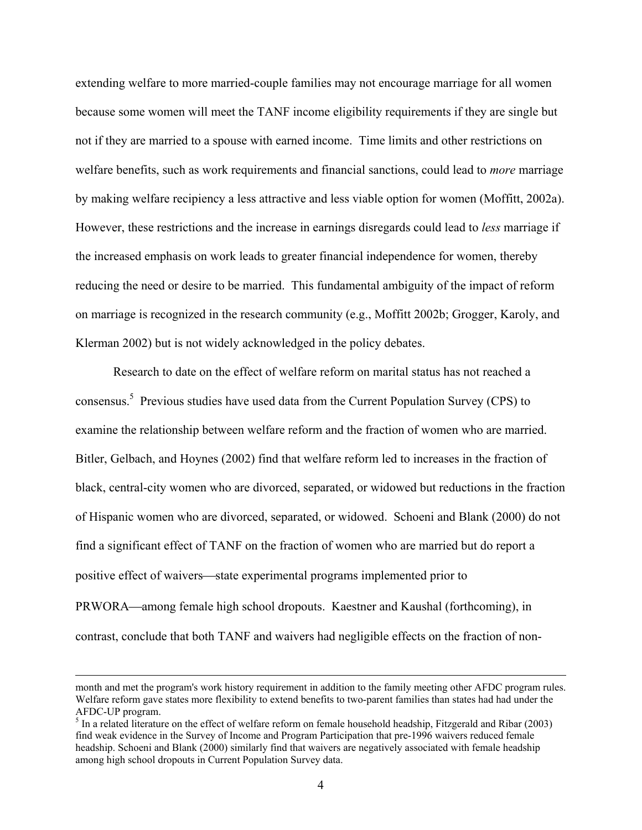extending welfare to more married-couple families may not encourage marriage for all women because some women will meet the TANF income eligibility requirements if they are single but not if they are married to a spouse with earned income. Time limits and other restrictions on welfare benefits, such as work requirements and financial sanctions, could lead to *more* marriage by making welfare recipiency a less attractive and less viable option for women (Moffitt, 2002a). However, these restrictions and the increase in earnings disregards could lead to *less* marriage if the increased emphasis on work leads to greater financial independence for women, thereby reducing the need or desire to be married. This fundamental ambiguity of the impact of reform on marriage is recognized in the research community (e.g., Moffitt 2002b; Grogger, Karoly, and Klerman 2002) but is not widely acknowledged in the policy debates.

Research to date on the effect of welfare reform on marital status has not reached a consensus.<sup>5</sup> Previous studies have used data from the Current Population Survey (CPS) to examine the relationship between welfare reform and the fraction of women who are married. Bitler, Gelbach, and Hoynes (2002) find that welfare reform led to increases in the fraction of black, central-city women who are divorced, separated, or widowed but reductions in the fraction of Hispanic women who are divorced, separated, or widowed. Schoeni and Blank (2000) do not find a significant effect of TANF on the fraction of women who are married but do report a positive effect of waivers—state experimental programs implemented prior to PRWORA—among female high school dropouts. Kaestner and Kaushal (forthcoming), in

contrast, conclude that both TANF and waivers had negligible effects on the fraction of non-

month and met the program's work history requirement in addition to the family meeting other AFDC program rules. Welfare reform gave states more flexibility to extend benefits to two-parent families than states had had under the AFDC-UP program.

 $<sup>5</sup>$  In a related literature on the effect of welfare reform on female household headship, Fitzgerald and Ribar (2003)</sup> find weak evidence in the Survey of Income and Program Participation that pre-1996 waivers reduced female headship. Schoeni and Blank (2000) similarly find that waivers are negatively associated with female headship among high school dropouts in Current Population Survey data.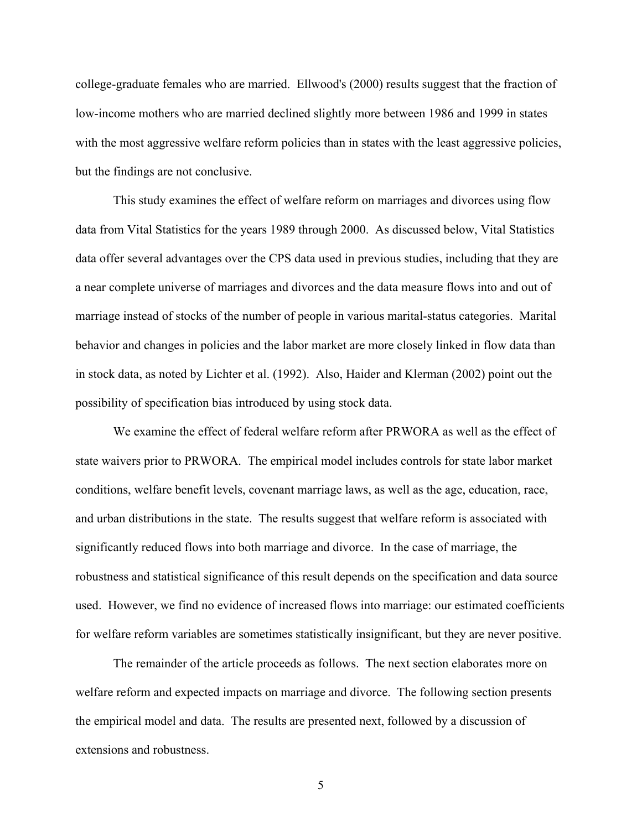college-graduate females who are married. Ellwood's (2000) results suggest that the fraction of low-income mothers who are married declined slightly more between 1986 and 1999 in states with the most aggressive welfare reform policies than in states with the least aggressive policies, but the findings are not conclusive.

This study examines the effect of welfare reform on marriages and divorces using flow data from Vital Statistics for the years 1989 through 2000. As discussed below, Vital Statistics data offer several advantages over the CPS data used in previous studies, including that they are a near complete universe of marriages and divorces and the data measure flows into and out of marriage instead of stocks of the number of people in various marital-status categories. Marital behavior and changes in policies and the labor market are more closely linked in flow data than in stock data, as noted by Lichter et al. (1992). Also, Haider and Klerman (2002) point out the possibility of specification bias introduced by using stock data.

We examine the effect of federal welfare reform after PRWORA as well as the effect of state waivers prior to PRWORA. The empirical model includes controls for state labor market conditions, welfare benefit levels, covenant marriage laws, as well as the age, education, race, and urban distributions in the state. The results suggest that welfare reform is associated with significantly reduced flows into both marriage and divorce. In the case of marriage, the robustness and statistical significance of this result depends on the specification and data source used. However, we find no evidence of increased flows into marriage: our estimated coefficients for welfare reform variables are sometimes statistically insignificant, but they are never positive.

 The remainder of the article proceeds as follows. The next section elaborates more on welfare reform and expected impacts on marriage and divorce. The following section presents the empirical model and data. The results are presented next, followed by a discussion of extensions and robustness.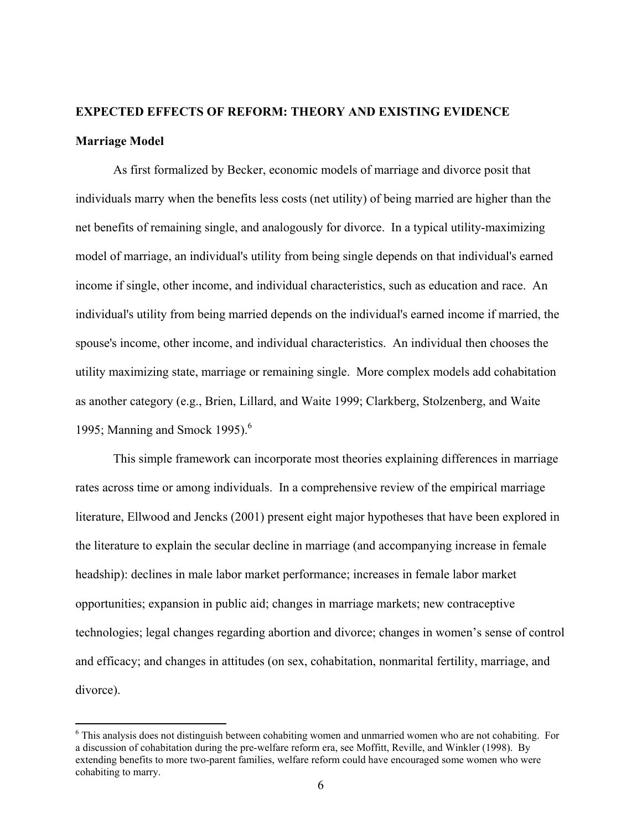# **EXPECTED EFFECTS OF REFORM: THEORY AND EXISTING EVIDENCE Marriage Model**

As first formalized by Becker, economic models of marriage and divorce posit that individuals marry when the benefits less costs (net utility) of being married are higher than the net benefits of remaining single, and analogously for divorce. In a typical utility-maximizing model of marriage, an individual's utility from being single depends on that individual's earned income if single, other income, and individual characteristics, such as education and race. An individual's utility from being married depends on the individual's earned income if married, the spouse's income, other income, and individual characteristics. An individual then chooses the utility maximizing state, marriage or remaining single. More complex models add cohabitation as another category (e.g., Brien, Lillard, and Waite 1999; Clarkberg, Stolzenberg, and Waite 1995; Manning and Smock 1995). $<sup>6</sup>$ </sup>

This simple framework can incorporate most theories explaining differences in marriage rates across time or among individuals. In a comprehensive review of the empirical marriage literature, Ellwood and Jencks (2001) present eight major hypotheses that have been explored in the literature to explain the secular decline in marriage (and accompanying increase in female headship): declines in male labor market performance; increases in female labor market opportunities; expansion in public aid; changes in marriage markets; new contraceptive technologies; legal changes regarding abortion and divorce; changes in women's sense of control and efficacy; and changes in attitudes (on sex, cohabitation, nonmarital fertility, marriage, and divorce).

<sup>&</sup>lt;sup>6</sup> This analysis does not distinguish between cohabiting women and unmarried women who are not cohabiting. For a discussion of cohabitation during the pre-welfare reform era, see Moffitt, Reville, and Winkler (1998). By extending benefits to more two-parent families, welfare reform could have encouraged some women who were cohabiting to marry.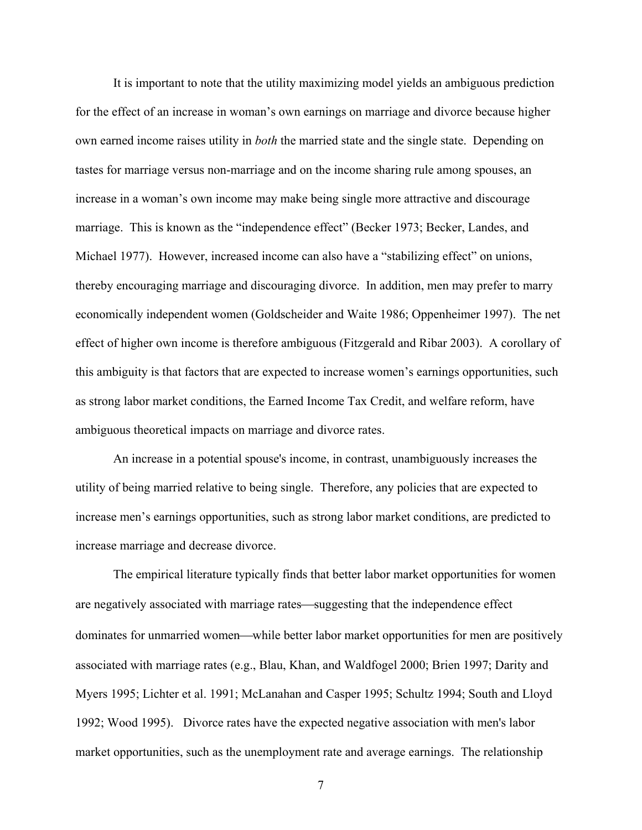It is important to note that the utility maximizing model yields an ambiguous prediction for the effect of an increase in woman's own earnings on marriage and divorce because higher own earned income raises utility in *both* the married state and the single state. Depending on tastes for marriage versus non-marriage and on the income sharing rule among spouses, an increase in a woman's own income may make being single more attractive and discourage marriage. This is known as the "independence effect" (Becker 1973; Becker, Landes, and Michael 1977). However, increased income can also have a "stabilizing effect" on unions, thereby encouraging marriage and discouraging divorce. In addition, men may prefer to marry economically independent women (Goldscheider and Waite 1986; Oppenheimer 1997). The net effect of higher own income is therefore ambiguous (Fitzgerald and Ribar 2003). A corollary of this ambiguity is that factors that are expected to increase women's earnings opportunities, such as strong labor market conditions, the Earned Income Tax Credit, and welfare reform, have ambiguous theoretical impacts on marriage and divorce rates.

An increase in a potential spouse's income, in contrast, unambiguously increases the utility of being married relative to being single. Therefore, any policies that are expected to increase men's earnings opportunities, such as strong labor market conditions, are predicted to increase marriage and decrease divorce.

The empirical literature typically finds that better labor market opportunities for women are negatively associated with marriage rates—suggesting that the independence effect dominates for unmarried women—while better labor market opportunities for men are positively associated with marriage rates (e.g., Blau, Khan, and Waldfogel 2000; Brien 1997; Darity and Myers 1995; Lichter et al. 1991; McLanahan and Casper 1995; Schultz 1994; South and Lloyd 1992; Wood 1995). Divorce rates have the expected negative association with men's labor market opportunities, such as the unemployment rate and average earnings. The relationship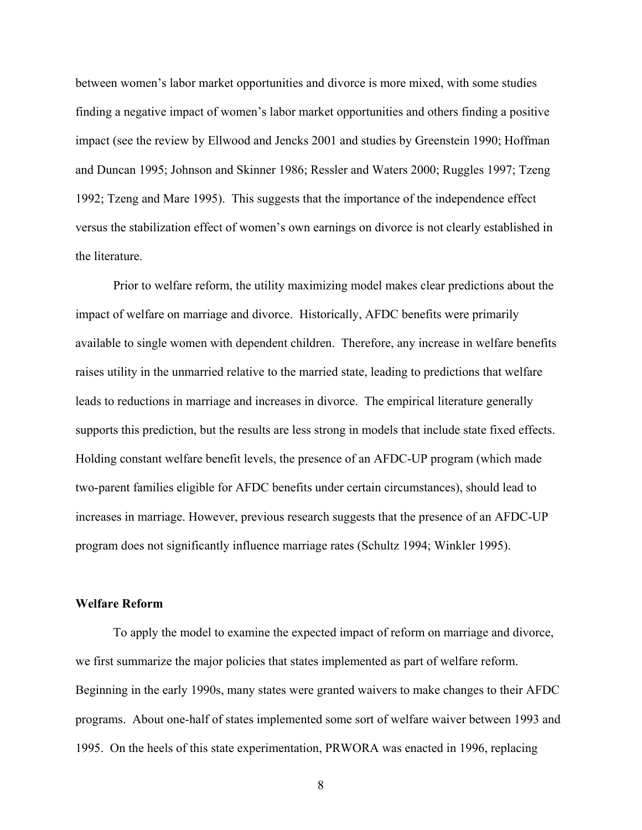between women's labor market opportunities and divorce is more mixed, with some studies finding a negative impact of women's labor market opportunities and others finding a positive impact (see the review by Ellwood and Jencks 2001 and studies by Greenstein 1990; Hoffman and Duncan 1995; Johnson and Skinner 1986; Ressler and Waters 2000; Ruggles 1997; Tzeng 1992; Tzeng and Mare 1995). This suggests that the importance of the independence effect versus the stabilization effect of women's own earnings on divorce is not clearly established in the literature.

Prior to welfare reform, the utility maximizing model makes clear predictions about the impact of welfare on marriage and divorce. Historically, AFDC benefits were primarily available to single women with dependent children. Therefore, any increase in welfare benefits raises utility in the unmarried relative to the married state, leading to predictions that welfare leads to reductions in marriage and increases in divorce. The empirical literature generally supports this prediction, but the results are less strong in models that include state fixed effects. Holding constant welfare benefit levels, the presence of an AFDC-UP program (which made two-parent families eligible for AFDC benefits under certain circumstances), should lead to increases in marriage. However, previous research suggests that the presence of an AFDC-UP program does not significantly influence marriage rates (Schultz 1994; Winkler 1995).

#### **Welfare Reform**

 To apply the model to examine the expected impact of reform on marriage and divorce, we first summarize the major policies that states implemented as part of welfare reform. Beginning in the early 1990s, many states were granted waivers to make changes to their AFDC programs. About one-half of states implemented some sort of welfare waiver between 1993 and 1995. On the heels of this state experimentation, PRWORA was enacted in 1996, replacing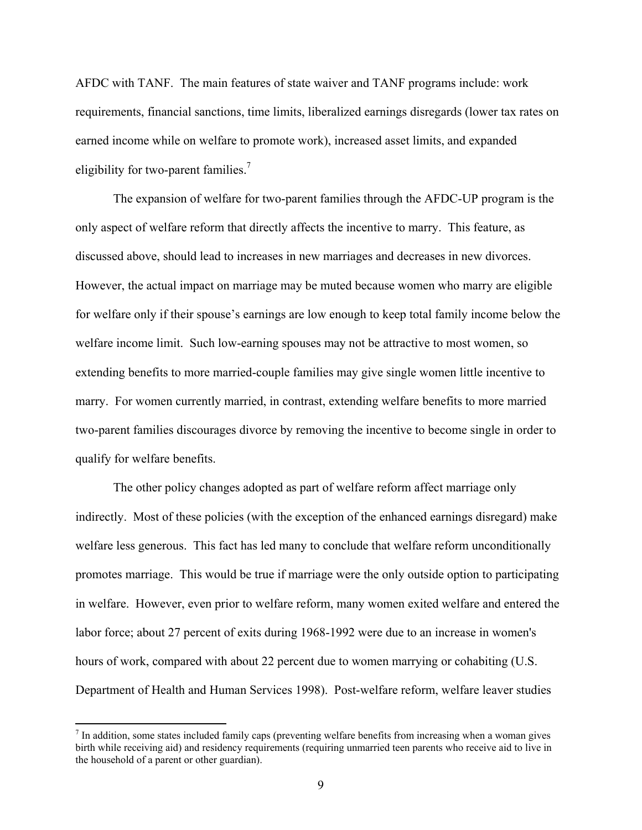AFDC with TANF. The main features of state waiver and TANF programs include: work requirements, financial sanctions, time limits, liberalized earnings disregards (lower tax rates on earned income while on welfare to promote work), increased asset limits, and expanded eligibility for two-parent families.7

 The expansion of welfare for two-parent families through the AFDC-UP program is the only aspect of welfare reform that directly affects the incentive to marry. This feature, as discussed above, should lead to increases in new marriages and decreases in new divorces. However, the actual impact on marriage may be muted because women who marry are eligible for welfare only if their spouse's earnings are low enough to keep total family income below the welfare income limit. Such low-earning spouses may not be attractive to most women, so extending benefits to more married-couple families may give single women little incentive to marry. For women currently married, in contrast, extending welfare benefits to more married two-parent families discourages divorce by removing the incentive to become single in order to qualify for welfare benefits.

The other policy changes adopted as part of welfare reform affect marriage only indirectly. Most of these policies (with the exception of the enhanced earnings disregard) make welfare less generous. This fact has led many to conclude that welfare reform unconditionally promotes marriage. This would be true if marriage were the only outside option to participating in welfare. However, even prior to welfare reform, many women exited welfare and entered the labor force; about 27 percent of exits during 1968-1992 were due to an increase in women's hours of work, compared with about 22 percent due to women marrying or cohabiting (U.S. Department of Health and Human Services 1998). Post-welfare reform, welfare leaver studies

 $<sup>7</sup>$  In addition, some states included family caps (preventing welfare benefits from increasing when a woman gives</sup> birth while receiving aid) and residency requirements (requiring unmarried teen parents who receive aid to live in the household of a parent or other guardian).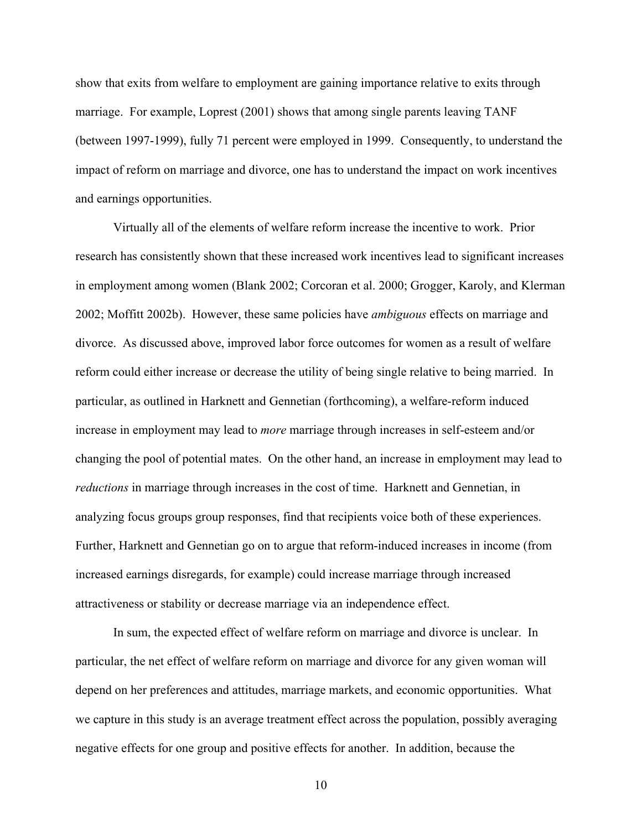show that exits from welfare to employment are gaining importance relative to exits through marriage. For example, Loprest (2001) shows that among single parents leaving TANF (between 1997-1999), fully 71 percent were employed in 1999. Consequently, to understand the impact of reform on marriage and divorce, one has to understand the impact on work incentives and earnings opportunities.

Virtually all of the elements of welfare reform increase the incentive to work. Prior research has consistently shown that these increased work incentives lead to significant increases in employment among women (Blank 2002; Corcoran et al. 2000; Grogger, Karoly, and Klerman 2002; Moffitt 2002b). However, these same policies have *ambiguous* effects on marriage and divorce. As discussed above, improved labor force outcomes for women as a result of welfare reform could either increase or decrease the utility of being single relative to being married. In particular, as outlined in Harknett and Gennetian (forthcoming), a welfare-reform induced increase in employment may lead to *more* marriage through increases in self-esteem and/or changing the pool of potential mates. On the other hand, an increase in employment may lead to *reductions* in marriage through increases in the cost of time. Harknett and Gennetian, in analyzing focus groups group responses, find that recipients voice both of these experiences. Further, Harknett and Gennetian go on to argue that reform-induced increases in income (from increased earnings disregards, for example) could increase marriage through increased attractiveness or stability or decrease marriage via an independence effect.

In sum, the expected effect of welfare reform on marriage and divorce is unclear. In particular, the net effect of welfare reform on marriage and divorce for any given woman will depend on her preferences and attitudes, marriage markets, and economic opportunities. What we capture in this study is an average treatment effect across the population, possibly averaging negative effects for one group and positive effects for another. In addition, because the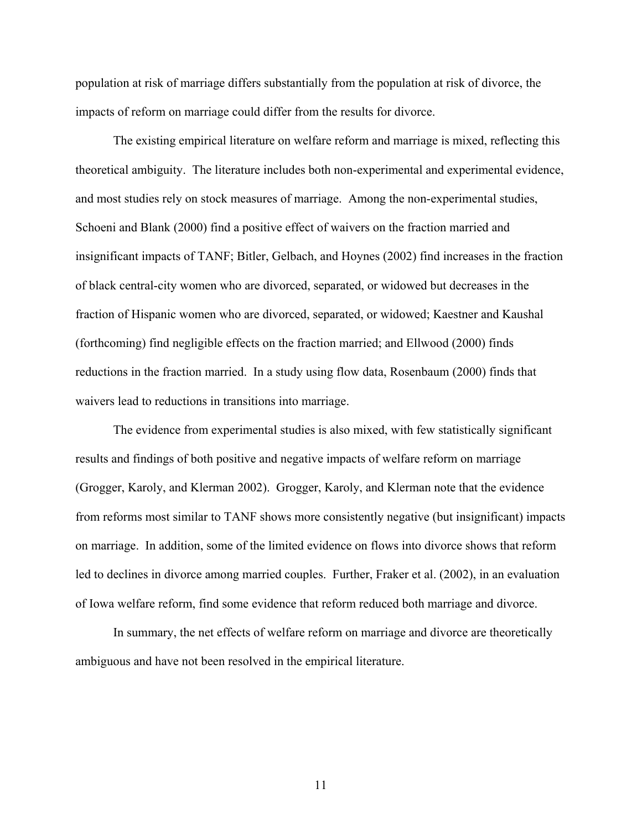population at risk of marriage differs substantially from the population at risk of divorce, the impacts of reform on marriage could differ from the results for divorce.

The existing empirical literature on welfare reform and marriage is mixed, reflecting this theoretical ambiguity. The literature includes both non-experimental and experimental evidence, and most studies rely on stock measures of marriage. Among the non-experimental studies, Schoeni and Blank (2000) find a positive effect of waivers on the fraction married and insignificant impacts of TANF; Bitler, Gelbach, and Hoynes (2002) find increases in the fraction of black central-city women who are divorced, separated, or widowed but decreases in the fraction of Hispanic women who are divorced, separated, or widowed; Kaestner and Kaushal (forthcoming) find negligible effects on the fraction married; and Ellwood (2000) finds reductions in the fraction married. In a study using flow data, Rosenbaum (2000) finds that waivers lead to reductions in transitions into marriage.

The evidence from experimental studies is also mixed, with few statistically significant results and findings of both positive and negative impacts of welfare reform on marriage (Grogger, Karoly, and Klerman 2002). Grogger, Karoly, and Klerman note that the evidence from reforms most similar to TANF shows more consistently negative (but insignificant) impacts on marriage. In addition, some of the limited evidence on flows into divorce shows that reform led to declines in divorce among married couples. Further, Fraker et al. (2002), in an evaluation of Iowa welfare reform, find some evidence that reform reduced both marriage and divorce.

In summary, the net effects of welfare reform on marriage and divorce are theoretically ambiguous and have not been resolved in the empirical literature.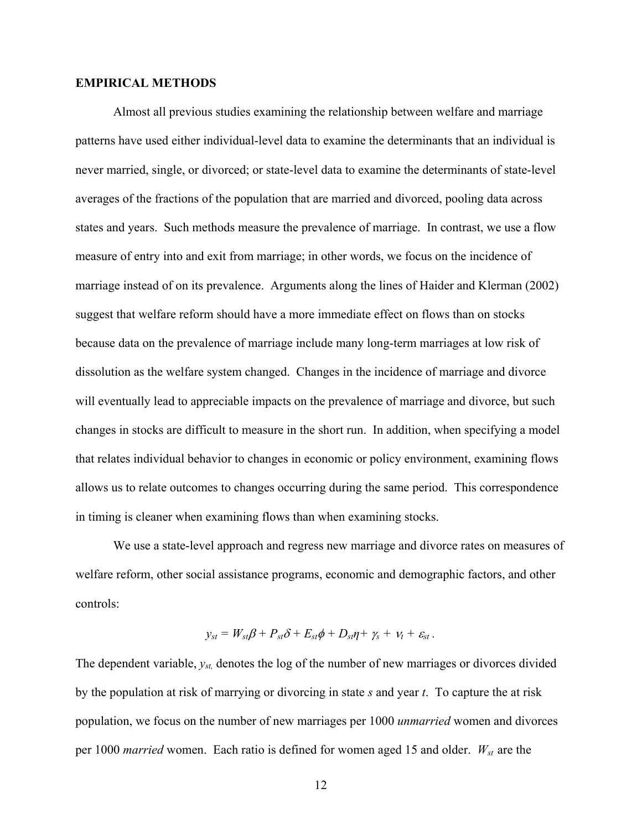#### **EMPIRICAL METHODS**

Almost all previous studies examining the relationship between welfare and marriage patterns have used either individual-level data to examine the determinants that an individual is never married, single, or divorced; or state-level data to examine the determinants of state-level averages of the fractions of the population that are married and divorced, pooling data across states and years. Such methods measure the prevalence of marriage. In contrast, we use a flow measure of entry into and exit from marriage; in other words, we focus on the incidence of marriage instead of on its prevalence. Arguments along the lines of Haider and Klerman (2002) suggest that welfare reform should have a more immediate effect on flows than on stocks because data on the prevalence of marriage include many long-term marriages at low risk of dissolution as the welfare system changed. Changes in the incidence of marriage and divorce will eventually lead to appreciable impacts on the prevalence of marriage and divorce, but such changes in stocks are difficult to measure in the short run. In addition, when specifying a model that relates individual behavior to changes in economic or policy environment, examining flows allows us to relate outcomes to changes occurring during the same period. This correspondence in timing is cleaner when examining flows than when examining stocks.

We use a state-level approach and regress new marriage and divorce rates on measures of welfare reform, other social assistance programs, economic and demographic factors, and other controls:

$$
y_{st} = W_{st}\beta + P_{st}\delta + E_{st}\phi + D_{st}\eta + \gamma_s + \nu_t + \varepsilon_{st}.
$$

The dependent variable, *yst,* denotes the log of the number of new marriages or divorces divided by the population at risk of marrying or divorcing in state *s* and year *t*. To capture the at risk population, we focus on the number of new marriages per 1000 *unmarried* women and divorces per 1000 *married* women. Each ratio is defined for women aged 15 and older.  $W_{st}$  are the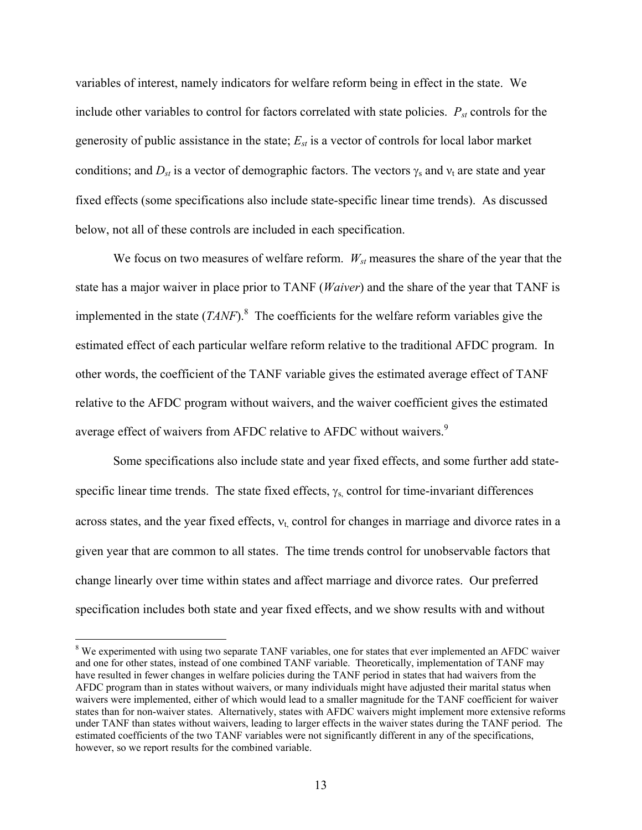variables of interest, namely indicators for welfare reform being in effect in the state. We include other variables to control for factors correlated with state policies.  $P_{st}$  controls for the generosity of public assistance in the state;  $E_{st}$  is a vector of controls for local labor market conditions; and  $D_{st}$  is a vector of demographic factors. The vectors  $\gamma_s$  and  $v_t$  are state and year fixed effects (some specifications also include state-specific linear time trends). As discussed below, not all of these controls are included in each specification.

We focus on two measures of welfare reform.  $W_{st}$  measures the share of the year that the state has a major waiver in place prior to TANF (*Waiver*) and the share of the year that TANF is implemented in the state  $(TANF)$ .<sup>8</sup> The coefficients for the welfare reform variables give the estimated effect of each particular welfare reform relative to the traditional AFDC program. In other words, the coefficient of the TANF variable gives the estimated average effect of TANF relative to the AFDC program without waivers, and the waiver coefficient gives the estimated average effect of waivers from AFDC relative to AFDC without waivers.<sup>9</sup>

Some specifications also include state and year fixed effects, and some further add statespecific linear time trends. The state fixed effects,  $\gamma$ <sub>s</sub>, control for time-invariant differences across states, and the year fixed effects,  $v_t$  control for changes in marriage and divorce rates in a given year that are common to all states. The time trends control for unobservable factors that change linearly over time within states and affect marriage and divorce rates. Our preferred specification includes both state and year fixed effects, and we show results with and without

<sup>&</sup>lt;sup>8</sup> We experimented with using two separate TANF variables, one for states that ever implemented an AFDC waiver and one for other states, instead of one combined TANF variable. Theoretically, implementation of TANF may have resulted in fewer changes in welfare policies during the TANF period in states that had waivers from the AFDC program than in states without waivers, or many individuals might have adjusted their marital status when waivers were implemented, either of which would lead to a smaller magnitude for the TANF coefficient for waiver states than for non-waiver states. Alternatively, states with AFDC waivers might implement more extensive reforms under TANF than states without waivers, leading to larger effects in the waiver states during the TANF period. The estimated coefficients of the two TANF variables were not significantly different in any of the specifications, however, so we report results for the combined variable.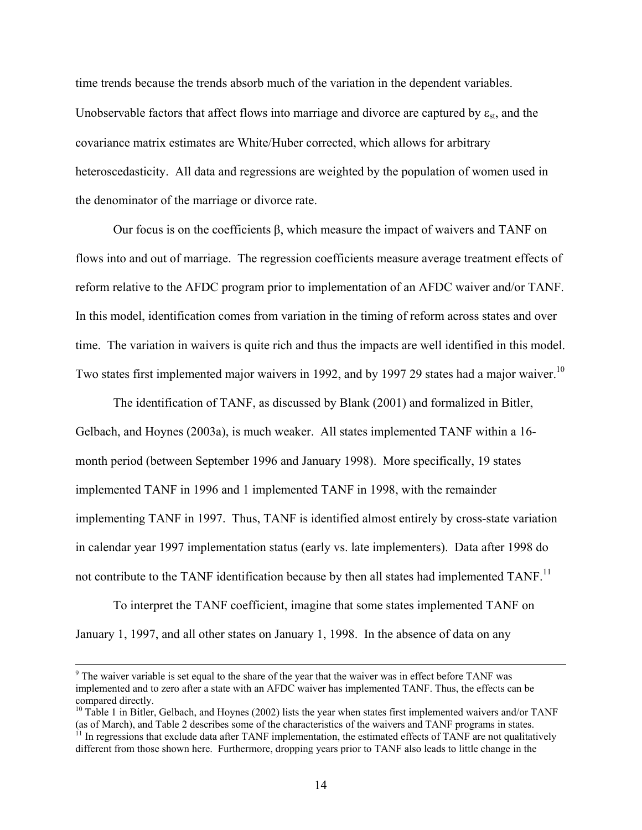time trends because the trends absorb much of the variation in the dependent variables. Unobservable factors that affect flows into marriage and divorce are captured by  $\varepsilon_{st}$ , and the covariance matrix estimates are White/Huber corrected, which allows for arbitrary heteroscedasticity. All data and regressions are weighted by the population of women used in the denominator of the marriage or divorce rate.

Our focus is on the coefficients  $β$ , which measure the impact of waivers and TANF on flows into and out of marriage. The regression coefficients measure average treatment effects of reform relative to the AFDC program prior to implementation of an AFDC waiver and/or TANF. In this model, identification comes from variation in the timing of reform across states and over time. The variation in waivers is quite rich and thus the impacts are well identified in this model. Two states first implemented major waivers in 1992, and by 1997 29 states had a major waiver.<sup>10</sup>

The identification of TANF, as discussed by Blank (2001) and formalized in Bitler, Gelbach, and Hoynes (2003a), is much weaker. All states implemented TANF within a 16 month period (between September 1996 and January 1998). More specifically, 19 states implemented TANF in 1996 and 1 implemented TANF in 1998, with the remainder implementing TANF in 1997. Thus, TANF is identified almost entirely by cross-state variation in calendar year 1997 implementation status (early vs. late implementers). Data after 1998 do not contribute to the TANF identification because by then all states had implemented TANF.<sup>11</sup>

To interpret the TANF coefficient, imagine that some states implemented TANF on January 1, 1997, and all other states on January 1, 1998. In the absence of data on any

<sup>-&</sup>lt;br>9 <sup>9</sup> The waiver variable is set equal to the share of the year that the waiver was in effect before TANF was implemented and to zero after a state with an AFDC waiver has implemented TANF. Thus, the effects can be compared directly.

 $10$  Table 1 in Bitler, Gelbach, and Hoynes (2002) lists the year when states first implemented waivers and/or TANF (as of March), and Table 2 describes some of the characteristics of the waivers and TANF programs in states.  $11$  In regressions that exclude data after TANF implementation, the estimated effects of TANF are not qualitati

different from those shown here. Furthermore, dropping years prior to TANF also leads to little change in the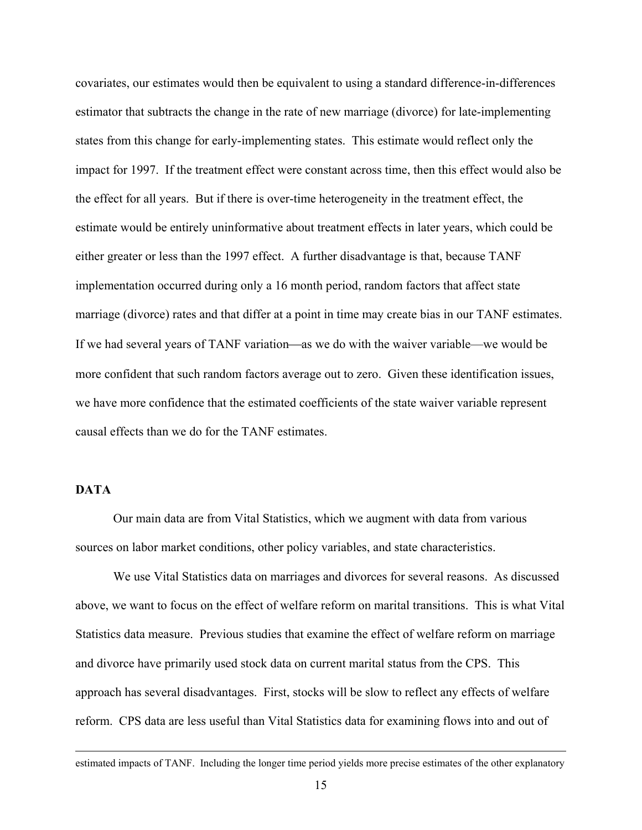covariates, our estimates would then be equivalent to using a standard difference-in-differences estimator that subtracts the change in the rate of new marriage (divorce) for late-implementing states from this change for early-implementing states. This estimate would reflect only the impact for 1997. If the treatment effect were constant across time, then this effect would also be the effect for all years. But if there is over-time heterogeneity in the treatment effect, the estimate would be entirely uninformative about treatment effects in later years, which could be either greater or less than the 1997 effect. A further disadvantage is that, because TANF implementation occurred during only a 16 month period, random factors that affect state marriage (divorce) rates and that differ at a point in time may create bias in our TANF estimates. If we had several years of TANF variation—as we do with the waiver variable—we would be more confident that such random factors average out to zero. Given these identification issues, we have more confidence that the estimated coefficients of the state waiver variable represent causal effects than we do for the TANF estimates.

# **DATA**

Our main data are from Vital Statistics, which we augment with data from various sources on labor market conditions, other policy variables, and state characteristics.

We use Vital Statistics data on marriages and divorces for several reasons. As discussed above, we want to focus on the effect of welfare reform on marital transitions. This is what Vital Statistics data measure. Previous studies that examine the effect of welfare reform on marriage and divorce have primarily used stock data on current marital status from the CPS. This approach has several disadvantages. First, stocks will be slow to reflect any effects of welfare reform. CPS data are less useful than Vital Statistics data for examining flows into and out of

estimated impacts of TANF. Including the longer time period yields more precise estimates of the other explanatory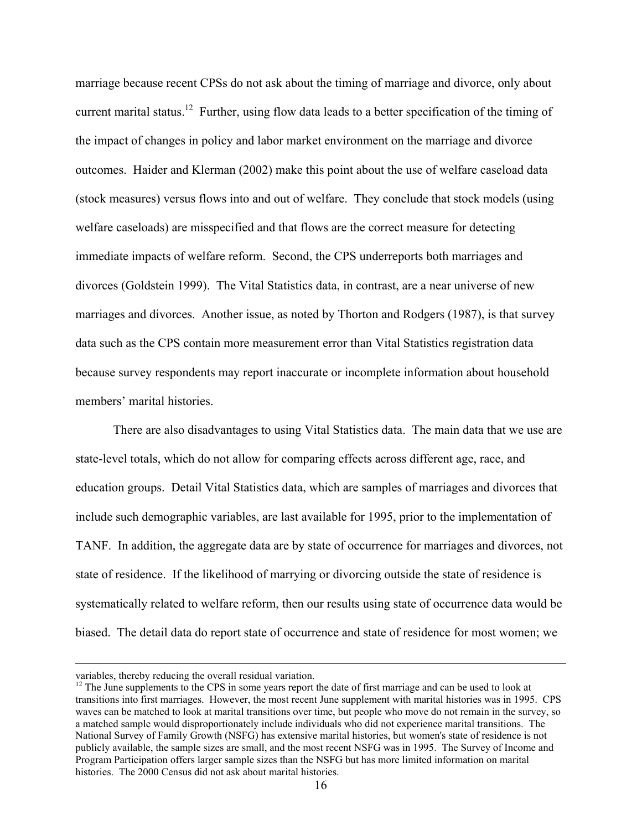marriage because recent CPSs do not ask about the timing of marriage and divorce, only about current marital status.<sup>12</sup> Further, using flow data leads to a better specification of the timing of the impact of changes in policy and labor market environment on the marriage and divorce outcomes. Haider and Klerman (2002) make this point about the use of welfare caseload data (stock measures) versus flows into and out of welfare. They conclude that stock models (using welfare caseloads) are misspecified and that flows are the correct measure for detecting immediate impacts of welfare reform. Second, the CPS underreports both marriages and divorces (Goldstein 1999). The Vital Statistics data, in contrast, are a near universe of new marriages and divorces. Another issue, as noted by Thorton and Rodgers (1987), is that survey data such as the CPS contain more measurement error than Vital Statistics registration data because survey respondents may report inaccurate or incomplete information about household members' marital histories.

There are also disadvantages to using Vital Statistics data. The main data that we use are state-level totals, which do not allow for comparing effects across different age, race, and education groups. Detail Vital Statistics data, which are samples of marriages and divorces that include such demographic variables, are last available for 1995, prior to the implementation of TANF. In addition, the aggregate data are by state of occurrence for marriages and divorces, not state of residence. If the likelihood of marrying or divorcing outside the state of residence is systematically related to welfare reform, then our results using state of occurrence data would be biased. The detail data do report state of occurrence and state of residence for most women; we

variables, thereby reducing the overall residual variation.<br><sup>12</sup> The June supplements to the CPS in some years report the date of first marriage and can be used to look at transitions into first marriages. However, the most recent June supplement with marital histories was in 1995. CPS waves can be matched to look at marital transitions over time, but people who move do not remain in the survey, so a matched sample would disproportionately include individuals who did not experience marital transitions. The National Survey of Family Growth (NSFG) has extensive marital histories, but women's state of residence is not publicly available, the sample sizes are small, and the most recent NSFG was in 1995. The Survey of Income and Program Participation offers larger sample sizes than the NSFG but has more limited information on marital histories. The 2000 Census did not ask about marital histories.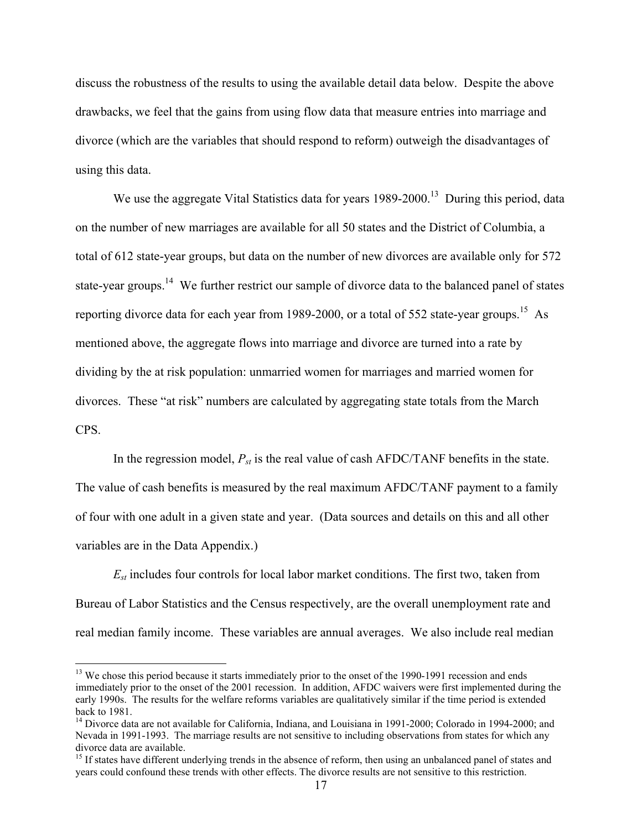discuss the robustness of the results to using the available detail data below. Despite the above drawbacks, we feel that the gains from using flow data that measure entries into marriage and divorce (which are the variables that should respond to reform) outweigh the disadvantages of using this data.

We use the aggregate Vital Statistics data for years 1989-2000.<sup>13</sup> During this period, data on the number of new marriages are available for all 50 states and the District of Columbia, a total of 612 state-year groups, but data on the number of new divorces are available only for 572 state-year groups.<sup>14</sup> We further restrict our sample of divorce data to the balanced panel of states reporting divorce data for each year from 1989-2000, or a total of 552 state-year groups.<sup>15</sup> As mentioned above, the aggregate flows into marriage and divorce are turned into a rate by dividing by the at risk population: unmarried women for marriages and married women for divorces. These "at risk" numbers are calculated by aggregating state totals from the March CPS.

In the regression model, *Pst* is the real value of cash AFDC/TANF benefits in the state. The value of cash benefits is measured by the real maximum AFDC/TANF payment to a family of four with one adult in a given state and year. (Data sources and details on this and all other variables are in the Data Appendix.)

*Est* includes four controls for local labor market conditions. The first two, taken from Bureau of Labor Statistics and the Census respectively, are the overall unemployment rate and real median family income. These variables are annual averages. We also include real median

<u>.</u>

<sup>&</sup>lt;sup>13</sup> We chose this period because it starts immediately prior to the onset of the 1990-1991 recession and ends immediately prior to the onset of the 2001 recession. In addition, AFDC waivers were first implemented during the early 1990s. The results for the welfare reforms variables are qualitatively similar if the time period is extended back to 1981.

<sup>&</sup>lt;sup>14</sup> Divorce data are not available for California, Indiana, and Louisiana in 1991-2000; Colorado in 1994-2000; and Nevada in 1991-1993. The marriage results are not sensitive to including observations from states for which any divorce data are available.

<sup>&</sup>lt;sup>15</sup> If states have different underlying trends in the absence of reform, then using an unbalanced panel of states and years could confound these trends with other effects. The divorce results are not sensitive to this restriction.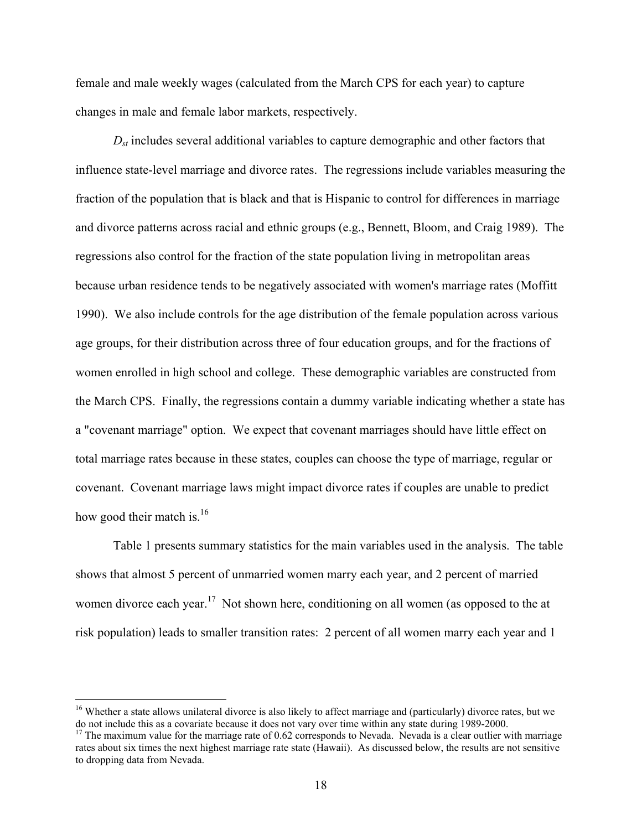female and male weekly wages (calculated from the March CPS for each year) to capture changes in male and female labor markets, respectively.

 $D_{st}$  includes several additional variables to capture demographic and other factors that influence state-level marriage and divorce rates. The regressions include variables measuring the fraction of the population that is black and that is Hispanic to control for differences in marriage and divorce patterns across racial and ethnic groups (e.g., Bennett, Bloom, and Craig 1989). The regressions also control for the fraction of the state population living in metropolitan areas because urban residence tends to be negatively associated with women's marriage rates (Moffitt 1990). We also include controls for the age distribution of the female population across various age groups, for their distribution across three of four education groups, and for the fractions of women enrolled in high school and college. These demographic variables are constructed from the March CPS. Finally, the regressions contain a dummy variable indicating whether a state has a "covenant marriage" option. We expect that covenant marriages should have little effect on total marriage rates because in these states, couples can choose the type of marriage, regular or covenant. Covenant marriage laws might impact divorce rates if couples are unable to predict how good their match is.<sup>16</sup>

Table 1 presents summary statistics for the main variables used in the analysis. The table shows that almost 5 percent of unmarried women marry each year, and 2 percent of married women divorce each year.<sup>17</sup> Not shown here, conditioning on all women (as opposed to the at risk population) leads to smaller transition rates: 2 percent of all women marry each year and 1

<u>.</u>

 $16$  Whether a state allows unilateral divorce is also likely to affect marriage and (particularly) divorce rates, but we do not include this as a covariate because it does not vary over time within any state during 1989-2000.<br><sup>17</sup> The maximum value for the marriage rate of 0.62 corresponds to Nevada. Nevada is a clear outlier with marriage

rates about six times the next highest marriage rate state (Hawaii). As discussed below, the results are not sensitive to dropping data from Nevada.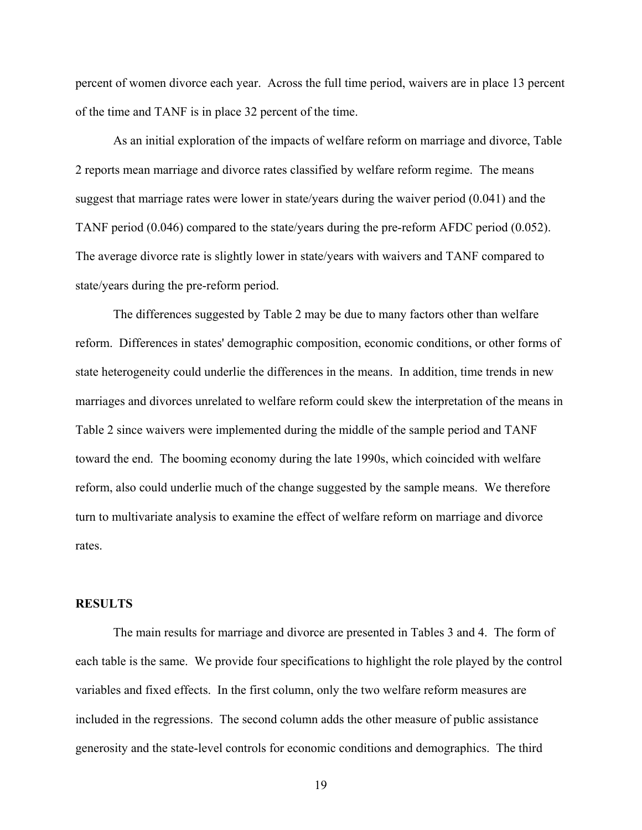percent of women divorce each year. Across the full time period, waivers are in place 13 percent of the time and TANF is in place 32 percent of the time.

As an initial exploration of the impacts of welfare reform on marriage and divorce, Table 2 reports mean marriage and divorce rates classified by welfare reform regime. The means suggest that marriage rates were lower in state/years during the waiver period (0.041) and the TANF period (0.046) compared to the state/years during the pre-reform AFDC period (0.052). The average divorce rate is slightly lower in state/years with waivers and TANF compared to state/years during the pre-reform period.

The differences suggested by Table 2 may be due to many factors other than welfare reform. Differences in states' demographic composition, economic conditions, or other forms of state heterogeneity could underlie the differences in the means. In addition, time trends in new marriages and divorces unrelated to welfare reform could skew the interpretation of the means in Table 2 since waivers were implemented during the middle of the sample period and TANF toward the end. The booming economy during the late 1990s, which coincided with welfare reform, also could underlie much of the change suggested by the sample means. We therefore turn to multivariate analysis to examine the effect of welfare reform on marriage and divorce rates.

#### **RESULTS**

The main results for marriage and divorce are presented in Tables 3 and 4. The form of each table is the same. We provide four specifications to highlight the role played by the control variables and fixed effects. In the first column, only the two welfare reform measures are included in the regressions. The second column adds the other measure of public assistance generosity and the state-level controls for economic conditions and demographics. The third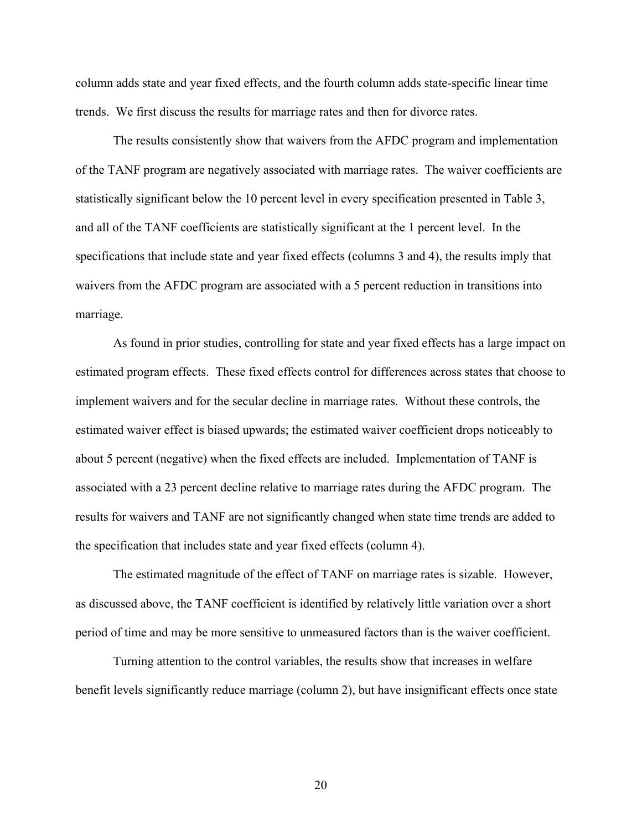column adds state and year fixed effects, and the fourth column adds state-specific linear time trends. We first discuss the results for marriage rates and then for divorce rates.

 The results consistently show that waivers from the AFDC program and implementation of the TANF program are negatively associated with marriage rates. The waiver coefficients are statistically significant below the 10 percent level in every specification presented in Table 3, and all of the TANF coefficients are statistically significant at the 1 percent level. In the specifications that include state and year fixed effects (columns 3 and 4), the results imply that waivers from the AFDC program are associated with a 5 percent reduction in transitions into marriage.

As found in prior studies, controlling for state and year fixed effects has a large impact on estimated program effects. These fixed effects control for differences across states that choose to implement waivers and for the secular decline in marriage rates. Without these controls, the estimated waiver effect is biased upwards; the estimated waiver coefficient drops noticeably to about 5 percent (negative) when the fixed effects are included. Implementation of TANF is associated with a 23 percent decline relative to marriage rates during the AFDC program. The results for waivers and TANF are not significantly changed when state time trends are added to the specification that includes state and year fixed effects (column 4).

 The estimated magnitude of the effect of TANF on marriage rates is sizable. However, as discussed above, the TANF coefficient is identified by relatively little variation over a short period of time and may be more sensitive to unmeasured factors than is the waiver coefficient.

Turning attention to the control variables, the results show that increases in welfare benefit levels significantly reduce marriage (column 2), but have insignificant effects once state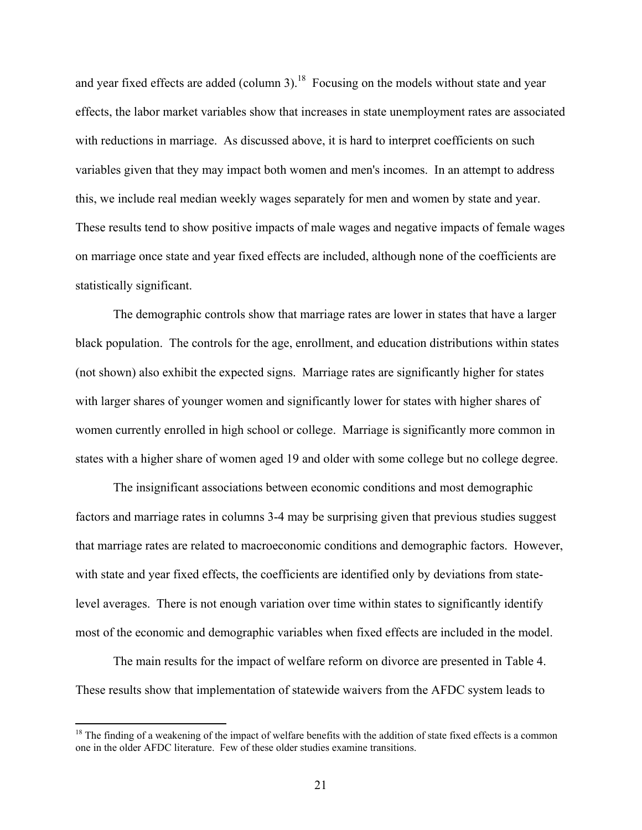and year fixed effects are added (column  $3$ ).<sup>18</sup> Focusing on the models without state and year effects, the labor market variables show that increases in state unemployment rates are associated with reductions in marriage. As discussed above, it is hard to interpret coefficients on such variables given that they may impact both women and men's incomes. In an attempt to address this, we include real median weekly wages separately for men and women by state and year. These results tend to show positive impacts of male wages and negative impacts of female wages on marriage once state and year fixed effects are included, although none of the coefficients are statistically significant.

The demographic controls show that marriage rates are lower in states that have a larger black population. The controls for the age, enrollment, and education distributions within states (not shown) also exhibit the expected signs. Marriage rates are significantly higher for states with larger shares of younger women and significantly lower for states with higher shares of women currently enrolled in high school or college. Marriage is significantly more common in states with a higher share of women aged 19 and older with some college but no college degree.

The insignificant associations between economic conditions and most demographic factors and marriage rates in columns 3-4 may be surprising given that previous studies suggest that marriage rates are related to macroeconomic conditions and demographic factors. However, with state and year fixed effects, the coefficients are identified only by deviations from statelevel averages. There is not enough variation over time within states to significantly identify most of the economic and demographic variables when fixed effects are included in the model.

 The main results for the impact of welfare reform on divorce are presented in Table 4. These results show that implementation of statewide waivers from the AFDC system leads to

 $18$  The finding of a weakening of the impact of welfare benefits with the addition of state fixed effects is a common one in the older AFDC literature. Few of these older studies examine transitions.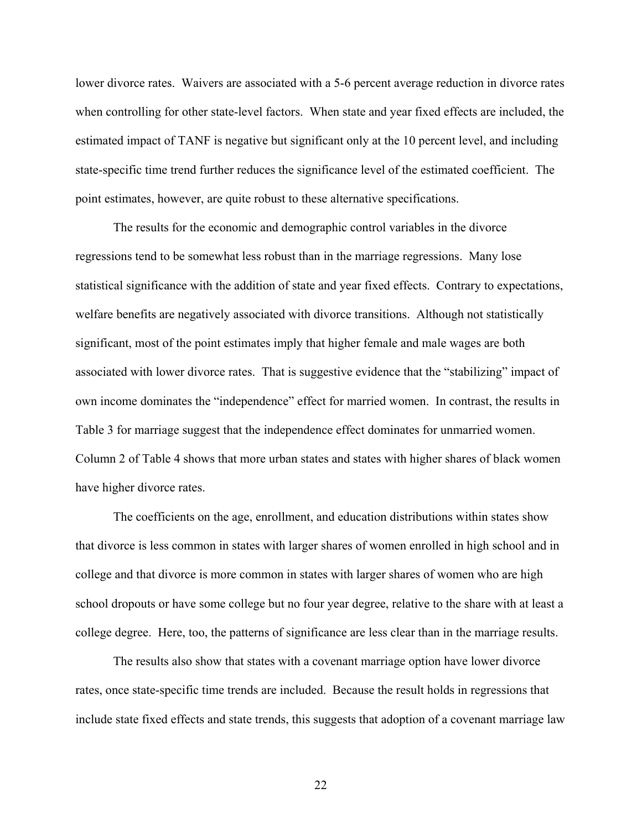lower divorce rates. Waivers are associated with a 5-6 percent average reduction in divorce rates when controlling for other state-level factors. When state and year fixed effects are included, the estimated impact of TANF is negative but significant only at the 10 percent level, and including state-specific time trend further reduces the significance level of the estimated coefficient. The point estimates, however, are quite robust to these alternative specifications.

The results for the economic and demographic control variables in the divorce regressions tend to be somewhat less robust than in the marriage regressions. Many lose statistical significance with the addition of state and year fixed effects. Contrary to expectations, welfare benefits are negatively associated with divorce transitions. Although not statistically significant, most of the point estimates imply that higher female and male wages are both associated with lower divorce rates. That is suggestive evidence that the "stabilizing" impact of own income dominates the "independence" effect for married women. In contrast, the results in Table 3 for marriage suggest that the independence effect dominates for unmarried women. Column 2 of Table 4 shows that more urban states and states with higher shares of black women have higher divorce rates.

The coefficients on the age, enrollment, and education distributions within states show that divorce is less common in states with larger shares of women enrolled in high school and in college and that divorce is more common in states with larger shares of women who are high school dropouts or have some college but no four year degree, relative to the share with at least a college degree. Here, too, the patterns of significance are less clear than in the marriage results.

 The results also show that states with a covenant marriage option have lower divorce rates, once state-specific time trends are included. Because the result holds in regressions that include state fixed effects and state trends, this suggests that adoption of a covenant marriage law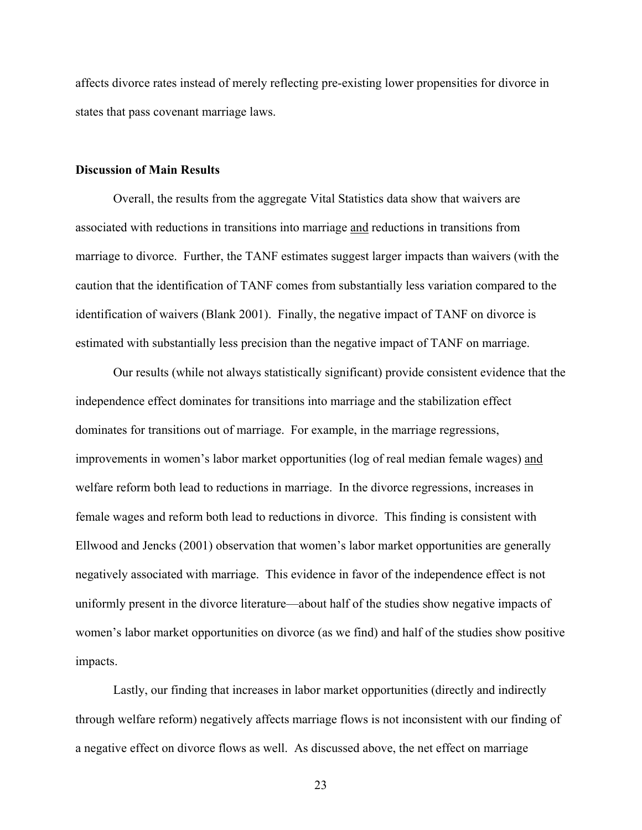affects divorce rates instead of merely reflecting pre-existing lower propensities for divorce in states that pass covenant marriage laws.

#### **Discussion of Main Results**

Overall, the results from the aggregate Vital Statistics data show that waivers are associated with reductions in transitions into marriage and reductions in transitions from marriage to divorce. Further, the TANF estimates suggest larger impacts than waivers (with the caution that the identification of TANF comes from substantially less variation compared to the identification of waivers (Blank 2001). Finally, the negative impact of TANF on divorce is estimated with substantially less precision than the negative impact of TANF on marriage.

Our results (while not always statistically significant) provide consistent evidence that the independence effect dominates for transitions into marriage and the stabilization effect dominates for transitions out of marriage. For example, in the marriage regressions, improvements in women's labor market opportunities (log of real median female wages) and welfare reform both lead to reductions in marriage. In the divorce regressions, increases in female wages and reform both lead to reductions in divorce. This finding is consistent with Ellwood and Jencks (2001) observation that women's labor market opportunities are generally negatively associated with marriage. This evidence in favor of the independence effect is not uniformly present in the divorce literature—about half of the studies show negative impacts of women's labor market opportunities on divorce (as we find) and half of the studies show positive impacts.

Lastly, our finding that increases in labor market opportunities (directly and indirectly through welfare reform) negatively affects marriage flows is not inconsistent with our finding of a negative effect on divorce flows as well. As discussed above, the net effect on marriage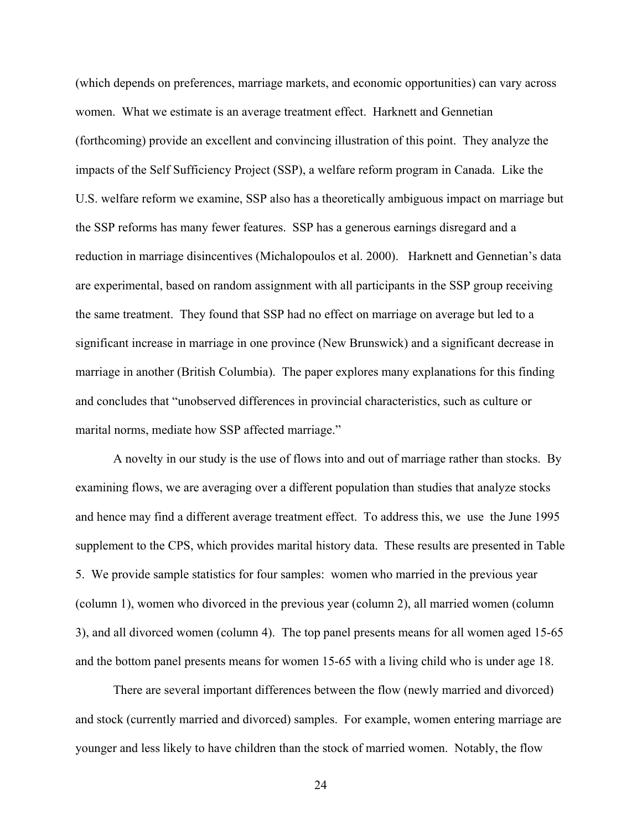(which depends on preferences, marriage markets, and economic opportunities) can vary across women. What we estimate is an average treatment effect. Harknett and Gennetian (forthcoming) provide an excellent and convincing illustration of this point. They analyze the impacts of the Self Sufficiency Project (SSP), a welfare reform program in Canada. Like the U.S. welfare reform we examine, SSP also has a theoretically ambiguous impact on marriage but the SSP reforms has many fewer features. SSP has a generous earnings disregard and a reduction in marriage disincentives (Michalopoulos et al. 2000). Harknett and Gennetian's data are experimental, based on random assignment with all participants in the SSP group receiving the same treatment. They found that SSP had no effect on marriage on average but led to a significant increase in marriage in one province (New Brunswick) and a significant decrease in marriage in another (British Columbia). The paper explores many explanations for this finding and concludes that "unobserved differences in provincial characteristics, such as culture or marital norms, mediate how SSP affected marriage."

A novelty in our study is the use of flows into and out of marriage rather than stocks. By examining flows, we are averaging over a different population than studies that analyze stocks and hence may find a different average treatment effect. To address this, we use the June 1995 supplement to the CPS, which provides marital history data. These results are presented in Table 5. We provide sample statistics for four samples: women who married in the previous year (column 1), women who divorced in the previous year (column 2), all married women (column 3), and all divorced women (column 4). The top panel presents means for all women aged 15-65 and the bottom panel presents means for women 15-65 with a living child who is under age 18.

There are several important differences between the flow (newly married and divorced) and stock (currently married and divorced) samples. For example, women entering marriage are younger and less likely to have children than the stock of married women. Notably, the flow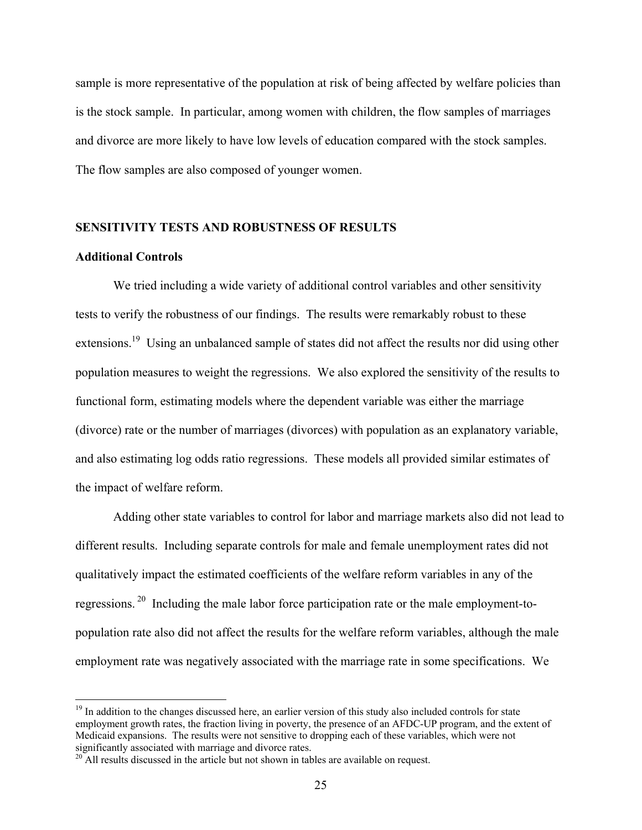sample is more representative of the population at risk of being affected by welfare policies than is the stock sample. In particular, among women with children, the flow samples of marriages and divorce are more likely to have low levels of education compared with the stock samples. The flow samples are also composed of younger women.

#### **SENSITIVITY TESTS AND ROBUSTNESS OF RESULTS**

## **Additional Controls**

<u>.</u>

 We tried including a wide variety of additional control variables and other sensitivity tests to verify the robustness of our findings. The results were remarkably robust to these extensions.<sup>19</sup> Using an unbalanced sample of states did not affect the results nor did using other population measures to weight the regressions. We also explored the sensitivity of the results to functional form, estimating models where the dependent variable was either the marriage (divorce) rate or the number of marriages (divorces) with population as an explanatory variable, and also estimating log odds ratio regressions. These models all provided similar estimates of the impact of welfare reform.

Adding other state variables to control for labor and marriage markets also did not lead to different results. Including separate controls for male and female unemployment rates did not qualitatively impact the estimated coefficients of the welfare reform variables in any of the regressions. 20 Including the male labor force participation rate or the male employment-topopulation rate also did not affect the results for the welfare reform variables, although the male employment rate was negatively associated with the marriage rate in some specifications. We

<sup>&</sup>lt;sup>19</sup> In addition to the changes discussed here, an earlier version of this study also included controls for state employment growth rates, the fraction living in poverty, the presence of an AFDC-UP program, and the extent of Medicaid expansions. The results were not sensitive to dropping each of these variables, which were not

 $\frac{20}{20}$  All results discussed in the article but not shown in tables are available on request.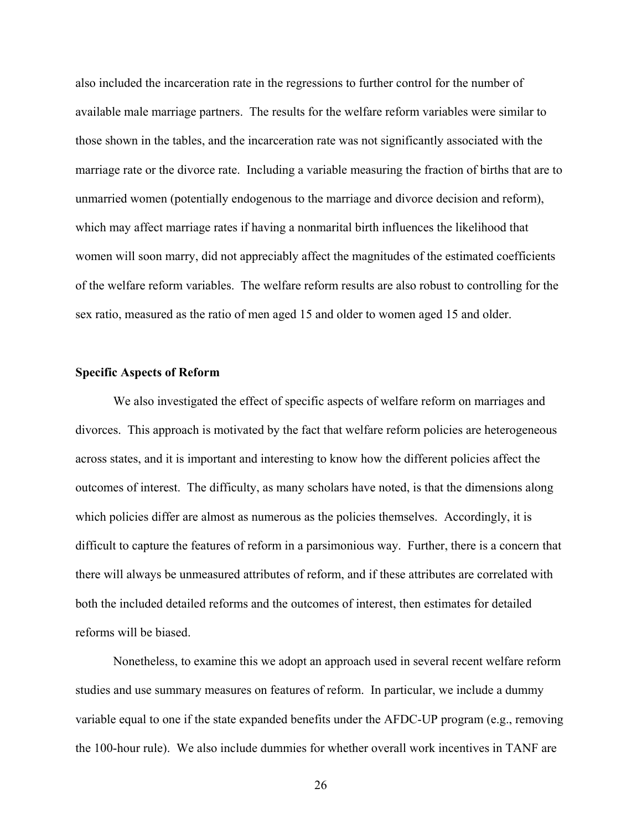also included the incarceration rate in the regressions to further control for the number of available male marriage partners. The results for the welfare reform variables were similar to those shown in the tables, and the incarceration rate was not significantly associated with the marriage rate or the divorce rate. Including a variable measuring the fraction of births that are to unmarried women (potentially endogenous to the marriage and divorce decision and reform), which may affect marriage rates if having a nonmarital birth influences the likelihood that women will soon marry, did not appreciably affect the magnitudes of the estimated coefficients of the welfare reform variables. The welfare reform results are also robust to controlling for the sex ratio, measured as the ratio of men aged 15 and older to women aged 15 and older.

#### **Specific Aspects of Reform**

 We also investigated the effect of specific aspects of welfare reform on marriages and divorces. This approach is motivated by the fact that welfare reform policies are heterogeneous across states, and it is important and interesting to know how the different policies affect the outcomes of interest. The difficulty, as many scholars have noted, is that the dimensions along which policies differ are almost as numerous as the policies themselves. Accordingly, it is difficult to capture the features of reform in a parsimonious way. Further, there is a concern that there will always be unmeasured attributes of reform, and if these attributes are correlated with both the included detailed reforms and the outcomes of interest, then estimates for detailed reforms will be biased.

Nonetheless, to examine this we adopt an approach used in several recent welfare reform studies and use summary measures on features of reform. In particular, we include a dummy variable equal to one if the state expanded benefits under the AFDC-UP program (e.g., removing the 100-hour rule). We also include dummies for whether overall work incentives in TANF are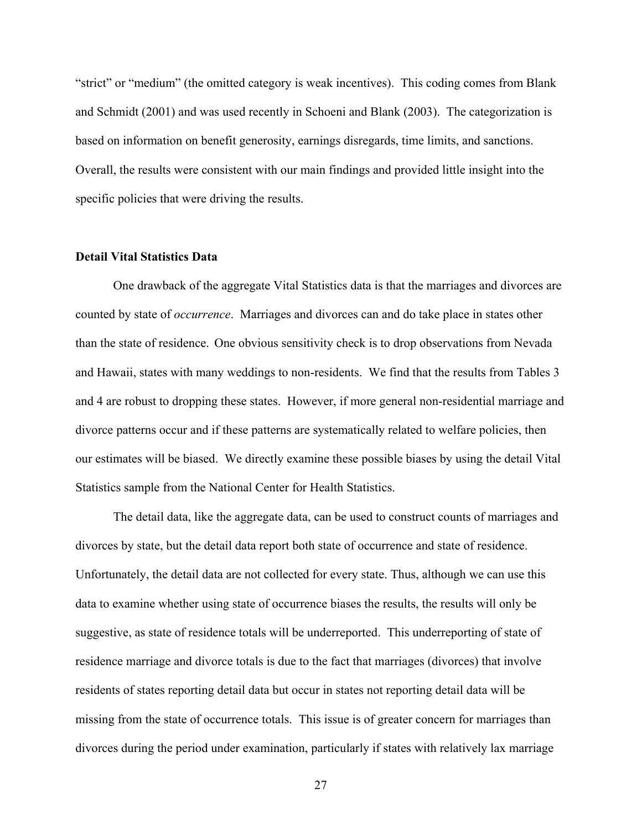"strict" or "medium" (the omitted category is weak incentives). This coding comes from Blank and Schmidt (2001) and was used recently in Schoeni and Blank (2003). The categorization is based on information on benefit generosity, earnings disregards, time limits, and sanctions. Overall, the results were consistent with our main findings and provided little insight into the specific policies that were driving the results.

## **Detail Vital Statistics Data**

 One drawback of the aggregate Vital Statistics data is that the marriages and divorces are counted by state of *occurrence*. Marriages and divorces can and do take place in states other than the state of residence. One obvious sensitivity check is to drop observations from Nevada and Hawaii, states with many weddings to non-residents. We find that the results from Tables 3 and 4 are robust to dropping these states. However, if more general non-residential marriage and divorce patterns occur and if these patterns are systematically related to welfare policies, then our estimates will be biased. We directly examine these possible biases by using the detail Vital Statistics sample from the National Center for Health Statistics.

The detail data, like the aggregate data, can be used to construct counts of marriages and divorces by state, but the detail data report both state of occurrence and state of residence. Unfortunately, the detail data are not collected for every state. Thus, although we can use this data to examine whether using state of occurrence biases the results, the results will only be suggestive, as state of residence totals will be underreported. This underreporting of state of residence marriage and divorce totals is due to the fact that marriages (divorces) that involve residents of states reporting detail data but occur in states not reporting detail data will be missing from the state of occurrence totals. This issue is of greater concern for marriages than divorces during the period under examination, particularly if states with relatively lax marriage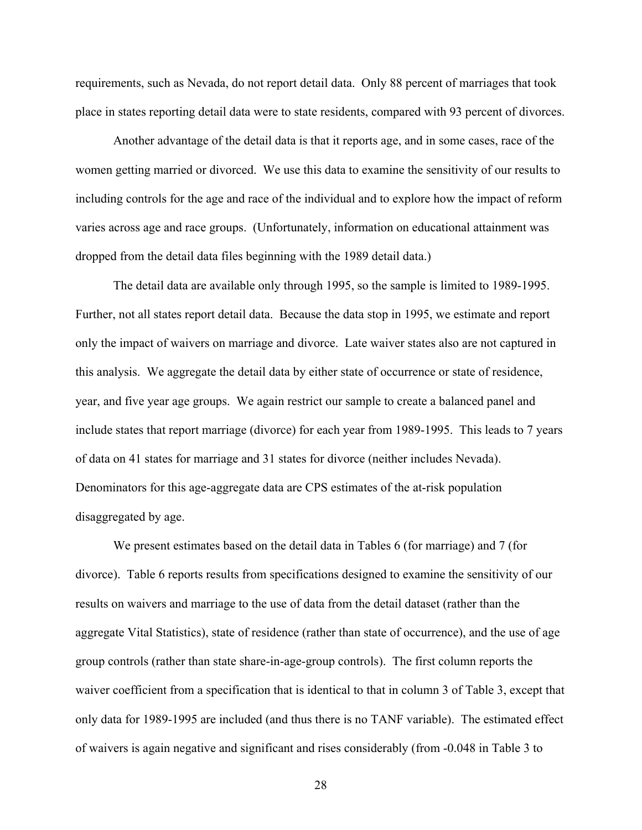requirements, such as Nevada, do not report detail data. Only 88 percent of marriages that took place in states reporting detail data were to state residents, compared with 93 percent of divorces.

 Another advantage of the detail data is that it reports age, and in some cases, race of the women getting married or divorced. We use this data to examine the sensitivity of our results to including controls for the age and race of the individual and to explore how the impact of reform varies across age and race groups. (Unfortunately, information on educational attainment was dropped from the detail data files beginning with the 1989 detail data.)

The detail data are available only through 1995, so the sample is limited to 1989-1995. Further, not all states report detail data. Because the data stop in 1995, we estimate and report only the impact of waivers on marriage and divorce. Late waiver states also are not captured in this analysis. We aggregate the detail data by either state of occurrence or state of residence, year, and five year age groups. We again restrict our sample to create a balanced panel and include states that report marriage (divorce) for each year from 1989-1995. This leads to 7 years of data on 41 states for marriage and 31 states for divorce (neither includes Nevada). Denominators for this age-aggregate data are CPS estimates of the at-risk population disaggregated by age.

We present estimates based on the detail data in Tables 6 (for marriage) and 7 (for divorce). Table 6 reports results from specifications designed to examine the sensitivity of our results on waivers and marriage to the use of data from the detail dataset (rather than the aggregate Vital Statistics), state of residence (rather than state of occurrence), and the use of age group controls (rather than state share-in-age-group controls). The first column reports the waiver coefficient from a specification that is identical to that in column 3 of Table 3, except that only data for 1989-1995 are included (and thus there is no TANF variable). The estimated effect of waivers is again negative and significant and rises considerably (from -0.048 in Table 3 to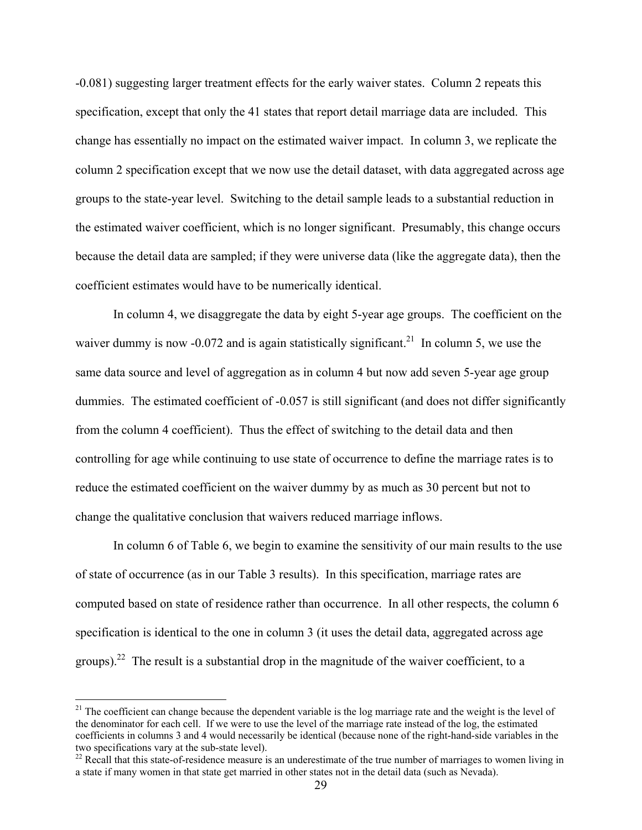-0.081) suggesting larger treatment effects for the early waiver states. Column 2 repeats this specification, except that only the 41 states that report detail marriage data are included. This change has essentially no impact on the estimated waiver impact. In column 3, we replicate the column 2 specification except that we now use the detail dataset, with data aggregated across age groups to the state-year level. Switching to the detail sample leads to a substantial reduction in the estimated waiver coefficient, which is no longer significant. Presumably, this change occurs because the detail data are sampled; if they were universe data (like the aggregate data), then the coefficient estimates would have to be numerically identical.

In column 4, we disaggregate the data by eight 5-year age groups. The coefficient on the waiver dummy is now -0.072 and is again statistically significant.<sup>21</sup> In column 5, we use the same data source and level of aggregation as in column 4 but now add seven 5-year age group dummies. The estimated coefficient of -0.057 is still significant (and does not differ significantly from the column 4 coefficient). Thus the effect of switching to the detail data and then controlling for age while continuing to use state of occurrence to define the marriage rates is to reduce the estimated coefficient on the waiver dummy by as much as 30 percent but not to change the qualitative conclusion that waivers reduced marriage inflows.

In column 6 of Table 6, we begin to examine the sensitivity of our main results to the use of state of occurrence (as in our Table 3 results). In this specification, marriage rates are computed based on state of residence rather than occurrence. In all other respects, the column 6 specification is identical to the one in column 3 (it uses the detail data, aggregated across age groups).<sup>22</sup> The result is a substantial drop in the magnitude of the waiver coefficient, to a

<u>.</u>

 $21$  The coefficient can change because the dependent variable is the log marriage rate and the weight is the level of the denominator for each cell. If we were to use the level of the marriage rate instead of the log, the estimated coefficients in columns 3 and 4 would necessarily be identical (because none of the right-hand-side variables in the

 $\frac{22}{22}$  Recall that this state-of-residence measure is an underestimate of the true number of marriages to women living in a state if many women in that state get married in other states not in the detail data (such as Nevada).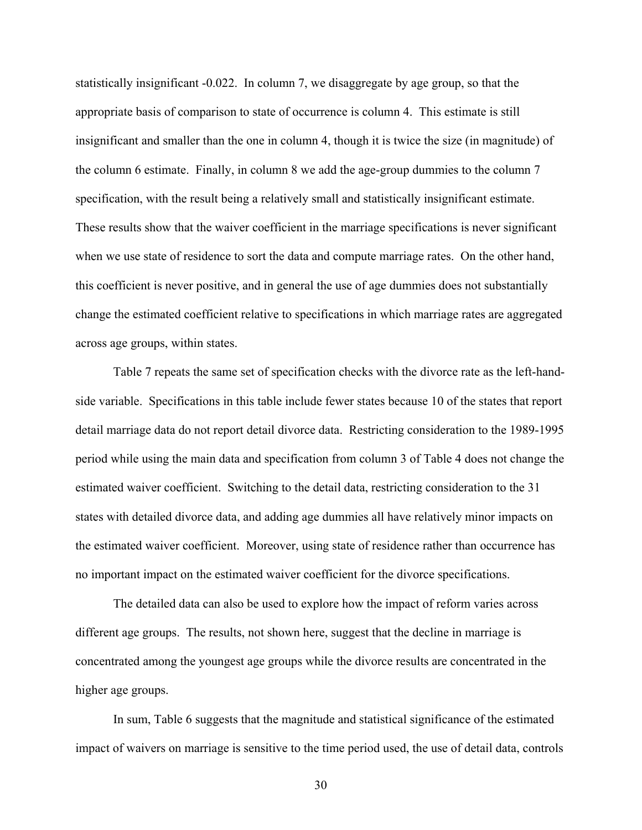statistically insignificant -0.022. In column 7, we disaggregate by age group, so that the appropriate basis of comparison to state of occurrence is column 4. This estimate is still insignificant and smaller than the one in column 4, though it is twice the size (in magnitude) of the column 6 estimate. Finally, in column 8 we add the age-group dummies to the column 7 specification, with the result being a relatively small and statistically insignificant estimate. These results show that the waiver coefficient in the marriage specifications is never significant when we use state of residence to sort the data and compute marriage rates. On the other hand, this coefficient is never positive, and in general the use of age dummies does not substantially change the estimated coefficient relative to specifications in which marriage rates are aggregated across age groups, within states.

Table 7 repeats the same set of specification checks with the divorce rate as the left-handside variable. Specifications in this table include fewer states because 10 of the states that report detail marriage data do not report detail divorce data. Restricting consideration to the 1989-1995 period while using the main data and specification from column 3 of Table 4 does not change the estimated waiver coefficient. Switching to the detail data, restricting consideration to the 31 states with detailed divorce data, and adding age dummies all have relatively minor impacts on the estimated waiver coefficient. Moreover, using state of residence rather than occurrence has no important impact on the estimated waiver coefficient for the divorce specifications.

The detailed data can also be used to explore how the impact of reform varies across different age groups. The results, not shown here, suggest that the decline in marriage is concentrated among the youngest age groups while the divorce results are concentrated in the higher age groups.

In sum, Table 6 suggests that the magnitude and statistical significance of the estimated impact of waivers on marriage is sensitive to the time period used, the use of detail data, controls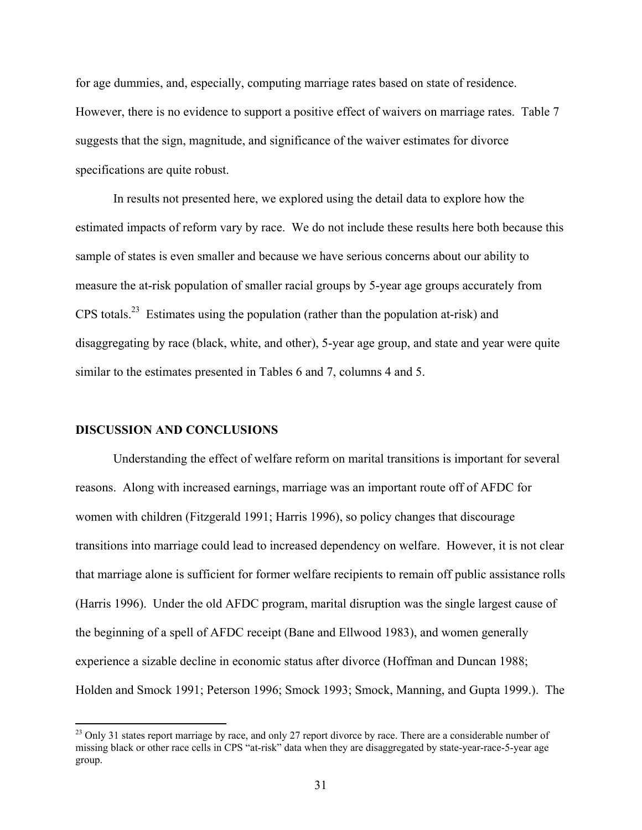for age dummies, and, especially, computing marriage rates based on state of residence. However, there is no evidence to support a positive effect of waivers on marriage rates. Table 7 suggests that the sign, magnitude, and significance of the waiver estimates for divorce specifications are quite robust.

In results not presented here, we explored using the detail data to explore how the estimated impacts of reform vary by race. We do not include these results here both because this sample of states is even smaller and because we have serious concerns about our ability to measure the at-risk population of smaller racial groups by 5-year age groups accurately from CPS totals.23 Estimates using the population (rather than the population at-risk) and disaggregating by race (black, white, and other), 5-year age group, and state and year were quite similar to the estimates presented in Tables 6 and 7, columns 4 and 5.

#### **DISCUSSION AND CONCLUSIONS**

1

Understanding the effect of welfare reform on marital transitions is important for several reasons. Along with increased earnings, marriage was an important route off of AFDC for women with children (Fitzgerald 1991; Harris 1996), so policy changes that discourage transitions into marriage could lead to increased dependency on welfare. However, it is not clear that marriage alone is sufficient for former welfare recipients to remain off public assistance rolls (Harris 1996). Under the old AFDC program, marital disruption was the single largest cause of the beginning of a spell of AFDC receipt (Bane and Ellwood 1983), and women generally experience a sizable decline in economic status after divorce (Hoffman and Duncan 1988; Holden and Smock 1991; Peterson 1996; Smock 1993; Smock, Manning, and Gupta 1999.). The

<sup>&</sup>lt;sup>23</sup> Only 31 states report marriage by race, and only 27 report divorce by race. There are a considerable number of missing black or other race cells in CPS "at-risk" data when they are disaggregated by state-year-race-5-year age group.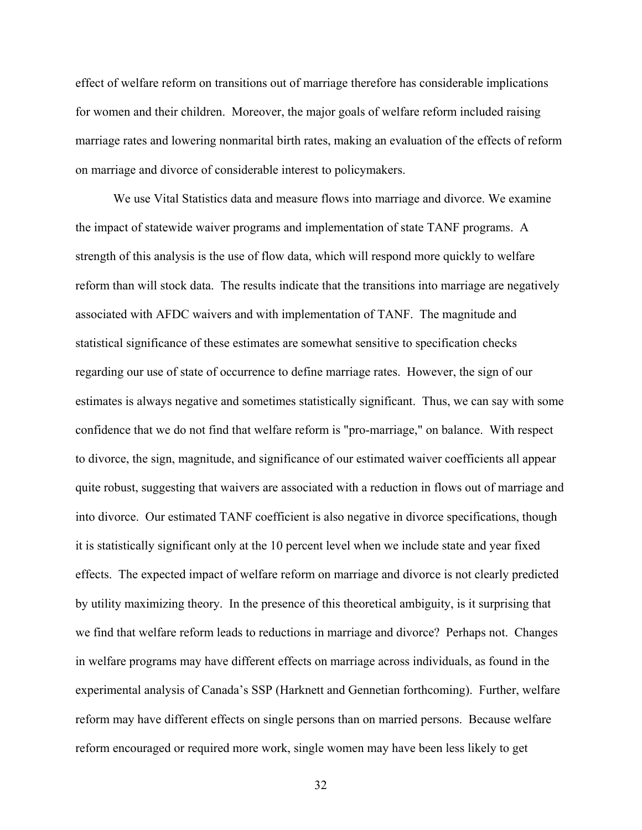effect of welfare reform on transitions out of marriage therefore has considerable implications for women and their children. Moreover, the major goals of welfare reform included raising marriage rates and lowering nonmarital birth rates, making an evaluation of the effects of reform on marriage and divorce of considerable interest to policymakers.

We use Vital Statistics data and measure flows into marriage and divorce. We examine the impact of statewide waiver programs and implementation of state TANF programs. A strength of this analysis is the use of flow data, which will respond more quickly to welfare reform than will stock data. The results indicate that the transitions into marriage are negatively associated with AFDC waivers and with implementation of TANF. The magnitude and statistical significance of these estimates are somewhat sensitive to specification checks regarding our use of state of occurrence to define marriage rates. However, the sign of our estimates is always negative and sometimes statistically significant. Thus, we can say with some confidence that we do not find that welfare reform is "pro-marriage," on balance. With respect to divorce, the sign, magnitude, and significance of our estimated waiver coefficients all appear quite robust, suggesting that waivers are associated with a reduction in flows out of marriage and into divorce. Our estimated TANF coefficient is also negative in divorce specifications, though it is statistically significant only at the 10 percent level when we include state and year fixed effects. The expected impact of welfare reform on marriage and divorce is not clearly predicted by utility maximizing theory. In the presence of this theoretical ambiguity, is it surprising that we find that welfare reform leads to reductions in marriage and divorce? Perhaps not. Changes in welfare programs may have different effects on marriage across individuals, as found in the experimental analysis of Canada's SSP (Harknett and Gennetian forthcoming). Further, welfare reform may have different effects on single persons than on married persons. Because welfare reform encouraged or required more work, single women may have been less likely to get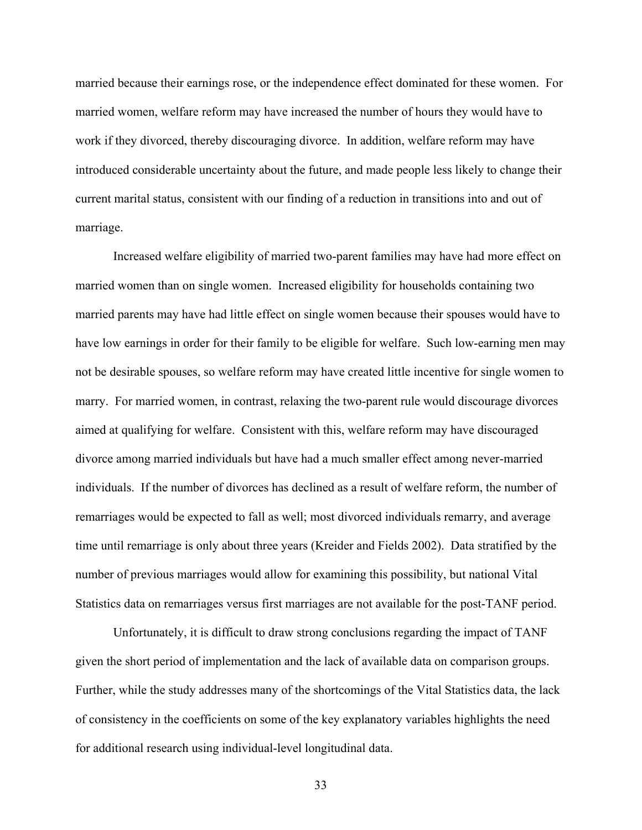married because their earnings rose, or the independence effect dominated for these women. For married women, welfare reform may have increased the number of hours they would have to work if they divorced, thereby discouraging divorce. In addition, welfare reform may have introduced considerable uncertainty about the future, and made people less likely to change their current marital status, consistent with our finding of a reduction in transitions into and out of marriage.

Increased welfare eligibility of married two-parent families may have had more effect on married women than on single women. Increased eligibility for households containing two married parents may have had little effect on single women because their spouses would have to have low earnings in order for their family to be eligible for welfare. Such low-earning men may not be desirable spouses, so welfare reform may have created little incentive for single women to marry. For married women, in contrast, relaxing the two-parent rule would discourage divorces aimed at qualifying for welfare. Consistent with this, welfare reform may have discouraged divorce among married individuals but have had a much smaller effect among never-married individuals. If the number of divorces has declined as a result of welfare reform, the number of remarriages would be expected to fall as well; most divorced individuals remarry, and average time until remarriage is only about three years (Kreider and Fields 2002). Data stratified by the number of previous marriages would allow for examining this possibility, but national Vital Statistics data on remarriages versus first marriages are not available for the post-TANF period.

Unfortunately, it is difficult to draw strong conclusions regarding the impact of TANF given the short period of implementation and the lack of available data on comparison groups. Further, while the study addresses many of the shortcomings of the Vital Statistics data, the lack of consistency in the coefficients on some of the key explanatory variables highlights the need for additional research using individual-level longitudinal data.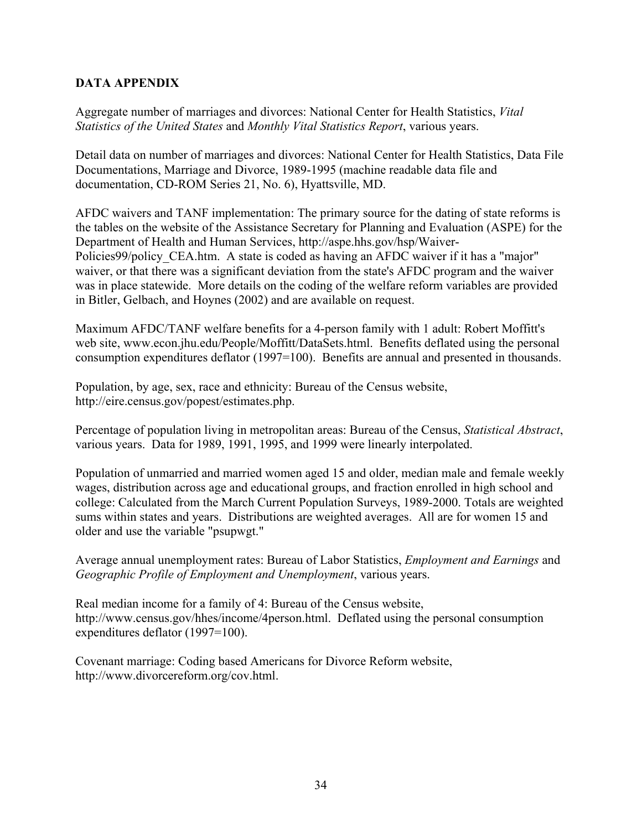# **DATA APPENDIX**

Aggregate number of marriages and divorces: National Center for Health Statistics, *Vital Statistics of the United States* and *Monthly Vital Statistics Report*, various years.

Detail data on number of marriages and divorces: National Center for Health Statistics, Data File Documentations, Marriage and Divorce, 1989-1995 (machine readable data file and documentation, CD-ROM Series 21, No. 6), Hyattsville, MD.

AFDC waivers and TANF implementation: The primary source for the dating of state reforms is the tables on the website of the Assistance Secretary for Planning and Evaluation (ASPE) for the Department of Health and Human Services, http://aspe.hhs.gov/hsp/Waiver-Policies99/policy CEA.htm. A state is coded as having an AFDC waiver if it has a "major" waiver, or that there was a significant deviation from the state's AFDC program and the waiver was in place statewide. More details on the coding of the welfare reform variables are provided in Bitler, Gelbach, and Hoynes (2002) and are available on request.

Maximum AFDC/TANF welfare benefits for a 4-person family with 1 adult: Robert Moffitt's web site, www.econ.jhu.edu/People/Moffitt/DataSets.html. Benefits deflated using the personal consumption expenditures deflator (1997=100). Benefits are annual and presented in thousands.

Population, by age, sex, race and ethnicity: Bureau of the Census website, http://eire.census.gov/popest/estimates.php.

Percentage of population living in metropolitan areas: Bureau of the Census, *Statistical Abstract*, various years. Data for 1989, 1991, 1995, and 1999 were linearly interpolated.

Population of unmarried and married women aged 15 and older, median male and female weekly wages, distribution across age and educational groups, and fraction enrolled in high school and college: Calculated from the March Current Population Surveys, 1989-2000. Totals are weighted sums within states and years. Distributions are weighted averages. All are for women 15 and older and use the variable "psupwgt."

Average annual unemployment rates: Bureau of Labor Statistics, *Employment and Earnings* and *Geographic Profile of Employment and Unemployment*, various years.

Real median income for a family of 4: Bureau of the Census website, http://www.census.gov/hhes/income/4person.html. Deflated using the personal consumption expenditures deflator (1997=100).

Covenant marriage: Coding based Americans for Divorce Reform website, http://www.divorcereform.org/cov.html.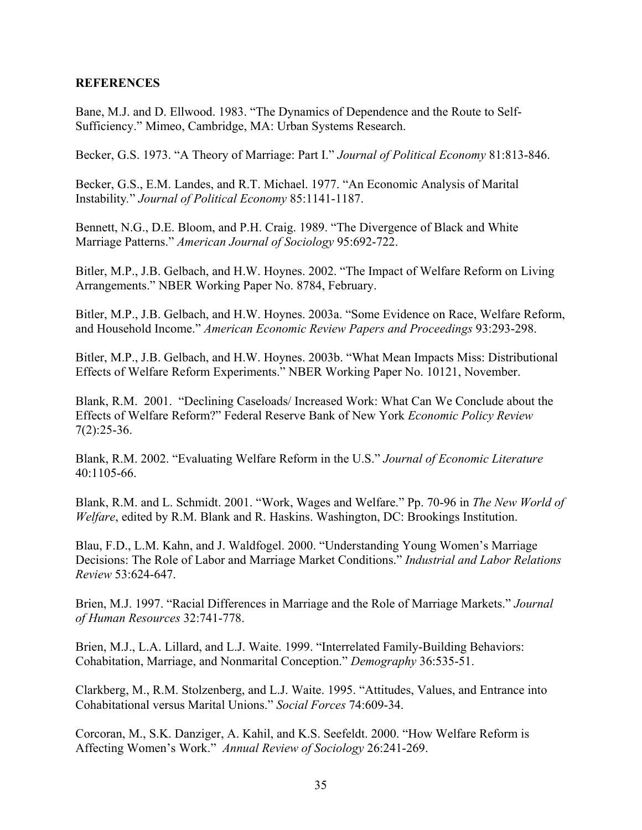# **REFERENCES**

Bane, M.J. and D. Ellwood. 1983. "The Dynamics of Dependence and the Route to Self-Sufficiency." Mimeo, Cambridge, MA: Urban Systems Research.

Becker, G.S. 1973. "A Theory of Marriage: Part I." *Journal of Political Economy* 81:813-846.

Becker, G.S., E.M. Landes, and R.T. Michael. 1977. "An Economic Analysis of Marital Instability*.*" *Journal of Political Economy* 85:1141-1187.

Bennett, N.G., D.E. Bloom, and P.H. Craig. 1989. "The Divergence of Black and White Marriage Patterns." *American Journal of Sociology* 95:692-722.

Bitler, M.P., J.B. Gelbach, and H.W. Hoynes. 2002. "The Impact of Welfare Reform on Living Arrangements." NBER Working Paper No. 8784, February.

Bitler, M.P., J.B. Gelbach, and H.W. Hoynes. 2003a. "Some Evidence on Race, Welfare Reform, and Household Income." *American Economic Review Papers and Proceedings* 93:293-298.

Bitler, M.P., J.B. Gelbach, and H.W. Hoynes. 2003b. "What Mean Impacts Miss: Distributional Effects of Welfare Reform Experiments." NBER Working Paper No. 10121, November.

Blank, R.M. 2001. "Declining Caseloads/ Increased Work: What Can We Conclude about the Effects of Welfare Reform?" Federal Reserve Bank of New York *Economic Policy Review*  $7(2):25-36.$ 

Blank, R.M. 2002. "Evaluating Welfare Reform in the U.S." *Journal of Economic Literature* 40:1105-66.

Blank, R.M. and L. Schmidt. 2001. "Work, Wages and Welfare." Pp. 70-96 in *The New World of Welfare*, edited by R.M. Blank and R. Haskins. Washington, DC: Brookings Institution.

Blau, F.D., L.M. Kahn, and J. Waldfogel. 2000. "Understanding Young Women's Marriage Decisions: The Role of Labor and Marriage Market Conditions." *Industrial and Labor Relations Review* 53:624-647.

Brien, M.J. 1997. "Racial Differences in Marriage and the Role of Marriage Markets." *Journal of Human Resources* 32:741-778.

Brien, M.J., L.A. Lillard, and L.J. Waite. 1999. "Interrelated Family-Building Behaviors: Cohabitation, Marriage, and Nonmarital Conception." *Demography* 36:535-51.

Clarkberg, M., R.M. Stolzenberg, and L.J. Waite. 1995. "Attitudes, Values, and Entrance into Cohabitational versus Marital Unions." *Social Forces* 74:609-34.

Corcoran, M., S.K. Danziger, A. Kahil, and K.S. Seefeldt. 2000. "How Welfare Reform is Affecting Women's Work." *Annual Review of Sociology* 26:241-269.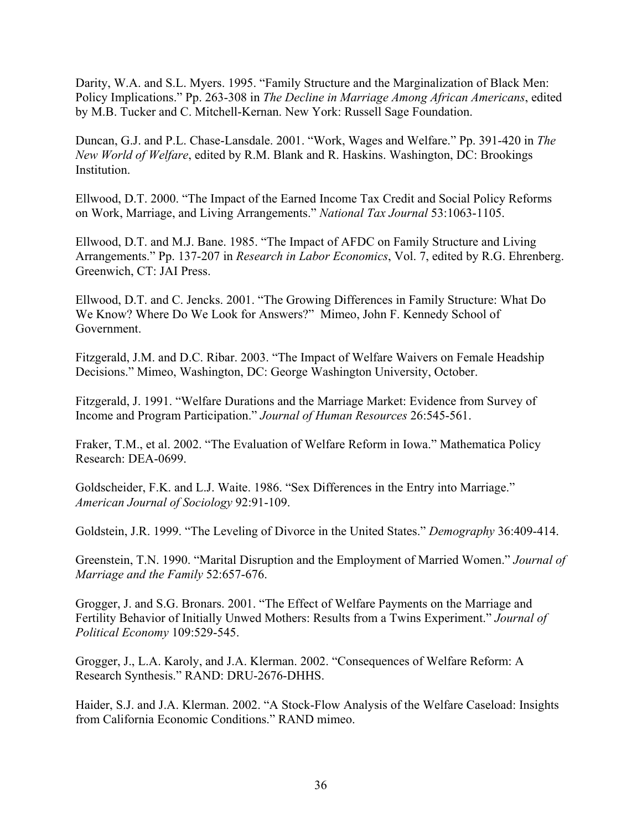Darity, W.A. and S.L. Myers. 1995. "Family Structure and the Marginalization of Black Men: Policy Implications." Pp. 263-308 in *The Decline in Marriage Among African Americans*, edited by M.B. Tucker and C. Mitchell-Kernan. New York: Russell Sage Foundation.

Duncan, G.J. and P.L. Chase-Lansdale. 2001. "Work, Wages and Welfare." Pp. 391-420 in *The New World of Welfare*, edited by R.M. Blank and R. Haskins. Washington, DC: Brookings Institution.

Ellwood, D.T. 2000. "The Impact of the Earned Income Tax Credit and Social Policy Reforms on Work, Marriage, and Living Arrangements." *National Tax Journal* 53:1063-1105.

Ellwood, D.T. and M.J. Bane. 1985. "The Impact of AFDC on Family Structure and Living Arrangements." Pp. 137-207 in *Research in Labor Economics*, Vol. 7, edited by R.G. Ehrenberg. Greenwich, CT: JAI Press.

Ellwood, D.T. and C. Jencks. 2001. "The Growing Differences in Family Structure: What Do We Know? Where Do We Look for Answers?" Mimeo, John F. Kennedy School of Government.

Fitzgerald, J.M. and D.C. Ribar. 2003. "The Impact of Welfare Waivers on Female Headship Decisions." Mimeo, Washington, DC: George Washington University, October.

Fitzgerald, J. 1991. "Welfare Durations and the Marriage Market: Evidence from Survey of Income and Program Participation." *Journal of Human Resources* 26:545-561.

Fraker, T.M., et al. 2002. "The Evaluation of Welfare Reform in Iowa." Mathematica Policy Research: DEA-0699.

Goldscheider, F.K. and L.J. Waite. 1986. "Sex Differences in the Entry into Marriage." *American Journal of Sociology* 92:91-109.

Goldstein, J.R. 1999. "The Leveling of Divorce in the United States." *Demography* 36:409-414.

Greenstein, T.N. 1990. "Marital Disruption and the Employment of Married Women." *Journal of Marriage and the Family* 52:657-676.

Grogger, J. and S.G. Bronars. 2001. "The Effect of Welfare Payments on the Marriage and Fertility Behavior of Initially Unwed Mothers: Results from a Twins Experiment." *Journal of Political Economy* 109:529-545.

Grogger, J., L.A. Karoly, and J.A. Klerman. 2002. "Consequences of Welfare Reform: A Research Synthesis." RAND: DRU-2676-DHHS.

Haider, S.J. and J.A. Klerman. 2002. "A Stock-Flow Analysis of the Welfare Caseload: Insights from California Economic Conditions." RAND mimeo.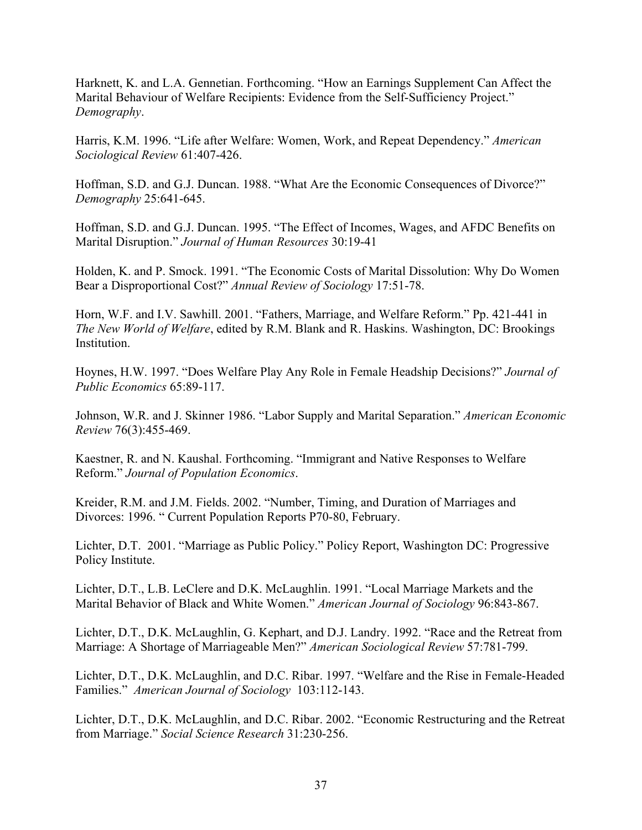Harknett, K. and L.A. Gennetian. Forthcoming. "How an Earnings Supplement Can Affect the Marital Behaviour of Welfare Recipients: Evidence from the Self-Sufficiency Project." *Demography*.

Harris, K.M. 1996. "Life after Welfare: Women, Work, and Repeat Dependency." *American Sociological Review* 61:407-426.

Hoffman, S.D. and G.J. Duncan. 1988. "What Are the Economic Consequences of Divorce?" *Demography* 25:641-645.

Hoffman, S.D. and G.J. Duncan. 1995. "The Effect of Incomes, Wages, and AFDC Benefits on Marital Disruption." *Journal of Human Resources* 30:19-41

Holden, K. and P. Smock. 1991. "The Economic Costs of Marital Dissolution: Why Do Women Bear a Disproportional Cost?" *Annual Review of Sociology* 17:51-78.

Horn, W.F. and I.V. Sawhill. 2001. "Fathers, Marriage, and Welfare Reform." Pp. 421-441 in *The New World of Welfare*, edited by R.M. Blank and R. Haskins. Washington, DC: Brookings Institution.

Hoynes, H.W. 1997. "Does Welfare Play Any Role in Female Headship Decisions?" *Journal of Public Economics* 65:89-117.

Johnson, W.R. and J. Skinner 1986. "Labor Supply and Marital Separation." *American Economic Review* 76(3):455-469.

Kaestner, R. and N. Kaushal. Forthcoming. "Immigrant and Native Responses to Welfare Reform." *Journal of Population Economics*.

Kreider, R.M. and J.M. Fields. 2002. "Number, Timing, and Duration of Marriages and Divorces: 1996. " Current Population Reports P70-80, February.

Lichter, D.T. 2001. "Marriage as Public Policy." Policy Report, Washington DC: Progressive Policy Institute.

Lichter, D.T., L.B. LeClere and D.K. McLaughlin. 1991. "Local Marriage Markets and the Marital Behavior of Black and White Women." *American Journal of Sociology* 96:843-867.

Lichter, D.T., D.K. McLaughlin, G. Kephart, and D.J. Landry. 1992. "Race and the Retreat from Marriage: A Shortage of Marriageable Men?" *American Sociological Review* 57:781-799.

Lichter, D.T., D.K. McLaughlin, and D.C. Ribar. 1997. "Welfare and the Rise in Female-Headed Families." *American Journal of Sociology* 103:112-143.

Lichter, D.T., D.K. McLaughlin, and D.C. Ribar. 2002. "Economic Restructuring and the Retreat from Marriage." *Social Science Research* 31:230-256.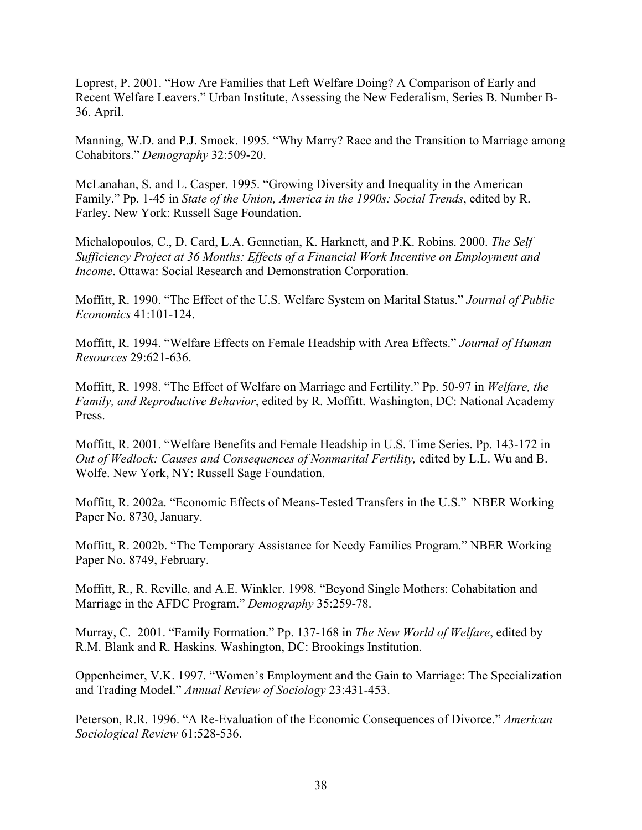Loprest, P. 2001. "How Are Families that Left Welfare Doing? A Comparison of Early and Recent Welfare Leavers." Urban Institute, Assessing the New Federalism, Series B. Number B-36. April.

Manning, W.D. and P.J. Smock. 1995. "Why Marry? Race and the Transition to Marriage among Cohabitors." *Demography* 32:509-20.

McLanahan, S. and L. Casper. 1995. "Growing Diversity and Inequality in the American Family." Pp. 1-45 in *State of the Union, America in the 1990s: Social Trends*, edited by R. Farley. New York: Russell Sage Foundation.

Michalopoulos, C., D. Card, L.A. Gennetian, K. Harknett, and P.K. Robins. 2000. *The Self Sufficiency Project at 36 Months: Effects of a Financial Work Incentive on Employment and Income*. Ottawa: Social Research and Demonstration Corporation.

Moffitt, R. 1990. "The Effect of the U.S. Welfare System on Marital Status." *Journal of Public Economics* 41:101-124.

Moffitt, R. 1994. "Welfare Effects on Female Headship with Area Effects." *Journal of Human Resources* 29:621-636.

Moffitt, R. 1998. "The Effect of Welfare on Marriage and Fertility." Pp. 50-97 in *Welfare, the Family, and Reproductive Behavior*, edited by R. Moffitt. Washington, DC: National Academy Press.

Moffitt, R. 2001. "Welfare Benefits and Female Headship in U.S. Time Series. Pp. 143-172 in *Out of Wedlock: Causes and Consequences of Nonmarital Fertility, edited by L.L. Wu and B.* Wolfe. New York, NY: Russell Sage Foundation.

Moffitt, R. 2002a. "Economic Effects of Means-Tested Transfers in the U.S." NBER Working Paper No. 8730, January.

Moffitt, R. 2002b. "The Temporary Assistance for Needy Families Program." NBER Working Paper No. 8749, February.

Moffitt, R., R. Reville, and A.E. Winkler. 1998. "Beyond Single Mothers: Cohabitation and Marriage in the AFDC Program." *Demography* 35:259-78.

Murray, C. 2001. "Family Formation." Pp. 137-168 in *The New World of Welfare*, edited by R.M. Blank and R. Haskins. Washington, DC: Brookings Institution.

Oppenheimer, V.K. 1997. "Women's Employment and the Gain to Marriage: The Specialization and Trading Model." *Annual Review of Sociology* 23:431-453.

Peterson, R.R. 1996. "A Re-Evaluation of the Economic Consequences of Divorce." *American Sociological Review* 61:528-536.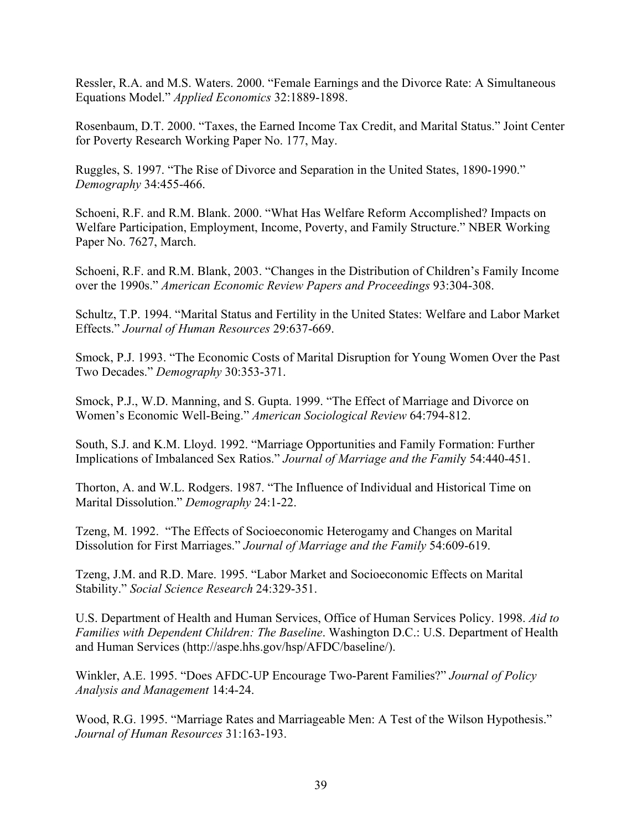Ressler, R.A. and M.S. Waters. 2000. "Female Earnings and the Divorce Rate: A Simultaneous Equations Model." *Applied Economics* 32:1889-1898.

Rosenbaum, D.T. 2000. "Taxes, the Earned Income Tax Credit, and Marital Status." Joint Center for Poverty Research Working Paper No. 177, May.

Ruggles, S. 1997. "The Rise of Divorce and Separation in the United States, 1890-1990." *Demography* 34:455-466.

Schoeni, R.F. and R.M. Blank. 2000. "What Has Welfare Reform Accomplished? Impacts on Welfare Participation, Employment, Income, Poverty, and Family Structure." NBER Working Paper No. 7627, March.

Schoeni, R.F. and R.M. Blank, 2003. "Changes in the Distribution of Children's Family Income over the 1990s." *American Economic Review Papers and Proceedings* 93:304-308.

Schultz, T.P. 1994. "Marital Status and Fertility in the United States: Welfare and Labor Market Effects." *Journal of Human Resources* 29:637-669.

Smock, P.J. 1993. "The Economic Costs of Marital Disruption for Young Women Over the Past Two Decades." *Demography* 30:353-371.

Smock, P.J., W.D. Manning, and S. Gupta. 1999. "The Effect of Marriage and Divorce on Women's Economic Well-Being." *American Sociological Review* 64:794-812.

South, S.J. and K.M. Lloyd. 1992. "Marriage Opportunities and Family Formation: Further Implications of Imbalanced Sex Ratios." *Journal of Marriage and the Famil*y 54:440-451.

Thorton, A. and W.L. Rodgers. 1987. "The Influence of Individual and Historical Time on Marital Dissolution." *Demography* 24:1-22.

Tzeng, M. 1992. "The Effects of Socioeconomic Heterogamy and Changes on Marital Dissolution for First Marriages." *Journal of Marriage and the Family* 54:609-619.

Tzeng, J.M. and R.D. Mare. 1995. "Labor Market and Socioeconomic Effects on Marital Stability." *Social Science Research* 24:329-351.

U.S. Department of Health and Human Services, Office of Human Services Policy. 1998. *Aid to Families with Dependent Children: The Baseline*. Washington D.C.: U.S. Department of Health and Human Services (http://aspe.hhs.gov/hsp/AFDC/baseline/).

Winkler, A.E. 1995. "Does AFDC-UP Encourage Two-Parent Families?" *Journal of Policy Analysis and Management* 14:4-24.

Wood, R.G. 1995. "Marriage Rates and Marriageable Men: A Test of the Wilson Hypothesis." *Journal of Human Resources* 31:163-193.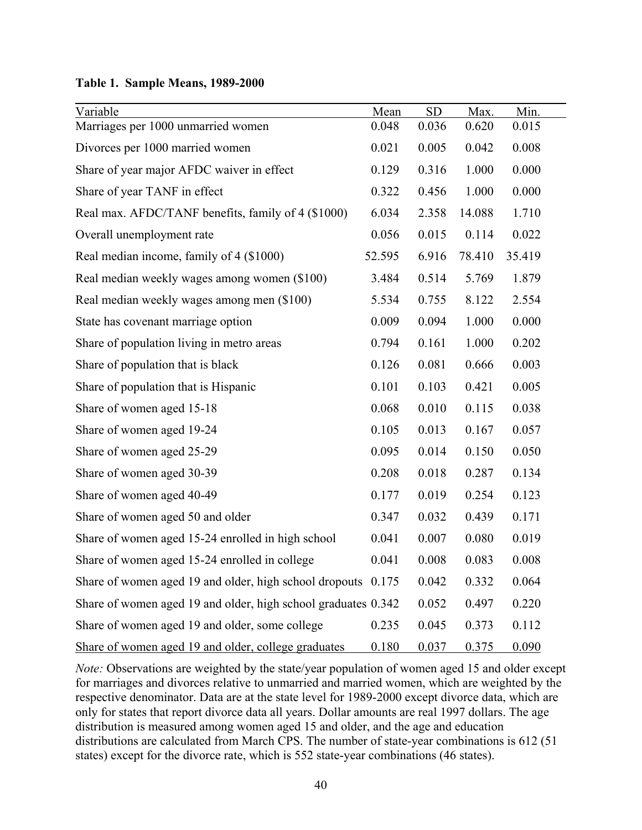**Table 1. Sample Means, 1989-2000** 

| Variable<br>Marriages per 1000 unmarried women                | Mean<br>0.048 | <b>SD</b><br>0.036 | Max.<br>0.620 | Min.<br>0.015 |
|---------------------------------------------------------------|---------------|--------------------|---------------|---------------|
| Divorces per 1000 married women                               | 0.021         | 0.005              | 0.042         | 0.008         |
| Share of year major AFDC waiver in effect                     | 0.129         | 0.316              | 1.000         | 0.000         |
| Share of year TANF in effect                                  | 0.322         | 0.456              | 1.000         | 0.000         |
| Real max. AFDC/TANF benefits, family of 4 (\$1000)            | 6.034         | 2.358              | 14.088        | 1.710         |
| Overall unemployment rate                                     | 0.056         | 0.015              | 0.114         | 0.022         |
| Real median income, family of 4 (\$1000)                      | 52.595        | 6.916              | 78.410        | 35.419        |
| Real median weekly wages among women (\$100)                  | 3.484         | 0.514              | 5.769         | 1.879         |
| Real median weekly wages among men (\$100)                    | 5.534         | 0.755              | 8.122         | 2.554         |
| State has covenant marriage option                            | 0.009         | 0.094              | 1.000         | 0.000         |
| Share of population living in metro areas                     | 0.794         | 0.161              | 1.000         | 0.202         |
| Share of population that is black                             | 0.126         | 0.081              | 0.666         | 0.003         |
| Share of population that is Hispanic                          | 0.101         | 0.103              | 0.421         | 0.005         |
| Share of women aged 15-18                                     | 0.068         | 0.010              | 0.115         | 0.038         |
| Share of women aged 19-24                                     | 0.105         | 0.013              | 0.167         | 0.057         |
| Share of women aged 25-29                                     | 0.095         | 0.014              | 0.150         | 0.050         |
| Share of women aged 30-39                                     | 0.208         | 0.018              | 0.287         | 0.134         |
| Share of women aged 40-49                                     | 0.177         | 0.019              | 0.254         | 0.123         |
| Share of women aged 50 and older                              | 0.347         | 0.032              | 0.439         | 0.171         |
| Share of women aged 15-24 enrolled in high school             | 0.041         | 0.007              | 0.080         | 0.019         |
| Share of women aged 15-24 enrolled in college                 | 0.041         | 0.008              | 0.083         | 0.008         |
| Share of women aged 19 and older, high school dropouts 0.175  |               | 0.042              | 0.332         | 0.064         |
| Share of women aged 19 and older, high school graduates 0.342 |               | 0.052              | 0.497         | 0.220         |
| Share of women aged 19 and older, some college                | 0.235         | 0.045              | 0.373         | 0.112         |
| Share of women aged 19 and older, college graduates           | 0.180         | 0.037              | 0.375         | 0.090         |

*Note:* Observations are weighted by the state/year population of women aged 15 and older except for marriages and divorces relative to unmarried and married women, which are weighted by the respective denominator. Data are at the state level for 1989-2000 except divorce data, which are only for states that report divorce data all years. Dollar amounts are real 1997 dollars. The age distribution is measured among women aged 15 and older, and the age and education distributions are calculated from March CPS. The number of state-year combinations is 612 (51 states) except for the divorce rate, which is 552 state-year combinations (46 states).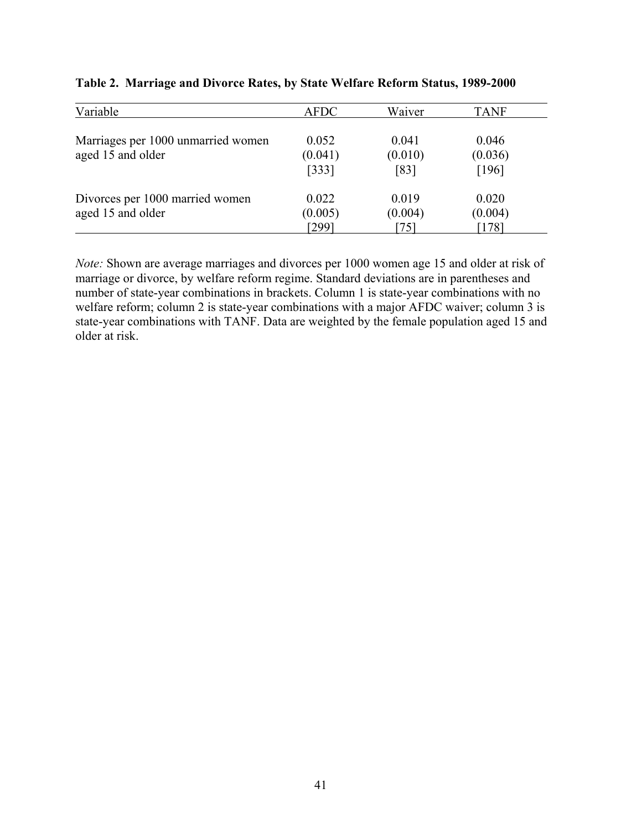| Variable                                                | <b>AFDC</b>               | Waiver                   | <b>TANF</b>                 |
|---------------------------------------------------------|---------------------------|--------------------------|-----------------------------|
| Marriages per 1000 unmarried women<br>aged 15 and older | 0.052<br>(0.041)<br>[333] | 0.041<br>(0.010)<br>[83] | 0.046<br>(0.036)<br>$[196]$ |
| Divorces per 1000 married women<br>aged 15 and older    | 0.022<br>(0.005)<br>[299] | 0.019<br>(0.004)<br>75   | 0.020<br>(0.004)<br>$178$ ] |

| Table 2. Marriage and Divorce Rates, by State Welfare Reform Status, 1989-2000 |  |  |  |  |
|--------------------------------------------------------------------------------|--|--|--|--|
|                                                                                |  |  |  |  |

*Note:* Shown are average marriages and divorces per 1000 women age 15 and older at risk of marriage or divorce, by welfare reform regime. Standard deviations are in parentheses and number of state-year combinations in brackets. Column 1 is state-year combinations with no welfare reform; column 2 is state-year combinations with a major AFDC waiver; column 3 is state-year combinations with TANF. Data are weighted by the female population aged 15 and older at risk.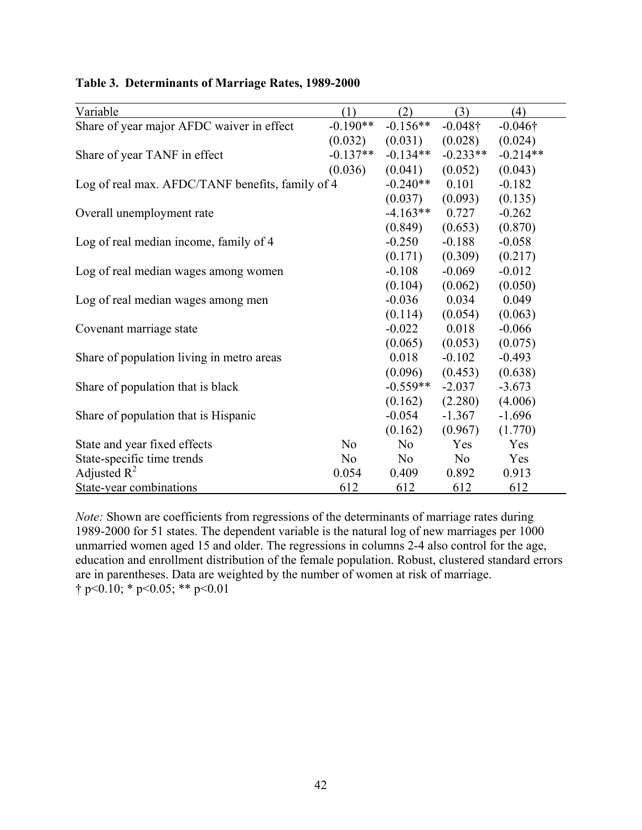| Variable                                         | (1)            | (2)            | (3)             | (4)             |
|--------------------------------------------------|----------------|----------------|-----------------|-----------------|
| Share of year major AFDC waiver in effect        | $-0.190**$     | $-0.156**$     | $-0.048\dagger$ | $-0.046\dagger$ |
|                                                  | (0.032)        | (0.031)        | (0.028)         | (0.024)         |
| Share of year TANF in effect                     | $-0.137**$     | $-0.134**$     | $-0.233**$      | $-0.214**$      |
|                                                  | (0.036)        | (0.041)        | (0.052)         | (0.043)         |
| Log of real max. AFDC/TANF benefits, family of 4 |                | $-0.240**$     | 0.101           | $-0.182$        |
|                                                  |                | (0.037)        | (0.093)         | (0.135)         |
| Overall unemployment rate                        |                | $-4.163**$     | 0.727           | $-0.262$        |
|                                                  |                | (0.849)        | (0.653)         | (0.870)         |
| Log of real median income, family of 4           |                | $-0.250$       | $-0.188$        | $-0.058$        |
|                                                  |                | (0.171)        | (0.309)         | (0.217)         |
| Log of real median wages among women             |                | $-0.108$       | $-0.069$        | $-0.012$        |
|                                                  |                | (0.104)        | (0.062)         | (0.050)         |
| Log of real median wages among men               |                | $-0.036$       | 0.034           | 0.049           |
|                                                  |                | (0.114)        | (0.054)         | (0.063)         |
| Covenant marriage state                          |                | $-0.022$       | 0.018           | $-0.066$        |
|                                                  |                | (0.065)        | (0.053)         | (0.075)         |
| Share of population living in metro areas        |                | 0.018          | $-0.102$        | $-0.493$        |
|                                                  |                | (0.096)        | (0.453)         | (0.638)         |
| Share of population that is black                |                | $-0.559**$     | $-2.037$        | $-3.673$        |
|                                                  |                | (0.162)        | (2.280)         | (4.006)         |
| Share of population that is Hispanic             |                | $-0.054$       | $-1.367$        | $-1.696$        |
|                                                  |                | (0.162)        | (0.967)         | (1.770)         |
| State and year fixed effects                     | N <sub>0</sub> | N <sub>o</sub> | Yes             | Yes             |
| State-specific time trends                       | N <sub>0</sub> | No             | No              | Yes             |
| Adjusted $R^2$                                   | 0.054          | 0.409          | 0.892           | 0.913           |
| State-year combinations                          | 612            | 612            | 612             | 612             |

# **Table 3. Determinants of Marriage Rates, 1989-2000**

*Note:* Shown are coefficients from regressions of the determinants of marriage rates during 1989-2000 for 51 states. The dependent variable is the natural log of new marriages per 1000 unmarried women aged 15 and older. The regressions in columns 2-4 also control for the age, education and enrollment distribution of the female population. Robust, clustered standard errors are in parentheses. Data are weighted by the number of women at risk of marriage.  $\uparrow$  p<0.10; \* p<0.05; \*\* p<0.01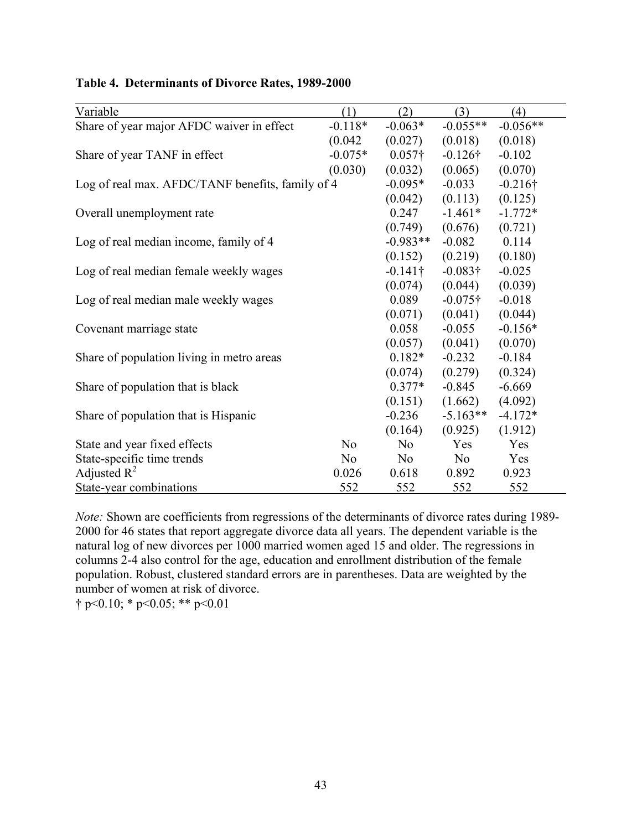| Variable                                         | (1)            | (2)             | (3)             | (4)             |
|--------------------------------------------------|----------------|-----------------|-----------------|-----------------|
| Share of year major AFDC waiver in effect        | $-0.118*$      | $-0.063*$       | $-0.055**$      | $-0.056**$      |
|                                                  | (0.042)        | (0.027)         | (0.018)         | (0.018)         |
| Share of year TANF in effect                     | $-0.075*$      | $0.057\dagger$  | $-0.126\dagger$ | $-0.102$        |
|                                                  | (0.030)        | (0.032)         | (0.065)         | (0.070)         |
| Log of real max. AFDC/TANF benefits, family of 4 |                | $-0.095*$       | $-0.033$        | $-0.216\dagger$ |
|                                                  |                | (0.042)         | (0.113)         | (0.125)         |
| Overall unemployment rate                        |                | 0.247           | $-1.461*$       | $-1.772*$       |
|                                                  |                | (0.749)         | (0.676)         | (0.721)         |
| Log of real median income, family of 4           |                | $-0.983**$      | $-0.082$        | 0.114           |
|                                                  |                | (0.152)         | (0.219)         | (0.180)         |
| Log of real median female weekly wages           |                | $-0.141\dagger$ | $-0.083\dagger$ | $-0.025$        |
|                                                  |                | (0.074)         | (0.044)         | (0.039)         |
| Log of real median male weekly wages             |                | 0.089           | $-0.075\dagger$ | $-0.018$        |
|                                                  |                | (0.071)         | (0.041)         | (0.044)         |
| Covenant marriage state                          |                | 0.058           | $-0.055$        | $-0.156*$       |
|                                                  |                | (0.057)         | (0.041)         | (0.070)         |
| Share of population living in metro areas        |                | $0.182*$        | $-0.232$        | $-0.184$        |
|                                                  |                | (0.074)         | (0.279)         | (0.324)         |
| Share of population that is black                |                | $0.377*$        | $-0.845$        | $-6.669$        |
|                                                  |                | (0.151)         | (1.662)         | (4.092)         |
| Share of population that is Hispanic             |                | $-0.236$        | $-5.163**$      | $-4.172*$       |
|                                                  |                | (0.164)         | (0.925)         | (1.912)         |
| State and year fixed effects                     | N <sub>0</sub> | N <sub>0</sub>  | Yes             | Yes             |
| State-specific time trends                       | N <sub>o</sub> | No              | No.             | Yes             |
| Adjusted $R^2$                                   | 0.026          | 0.618           | 0.892           | 0.923           |
| State-year combinations                          | 552            | 552             | 552             | 552             |

# **Table 4. Determinants of Divorce Rates, 1989-2000**

*Note:* Shown are coefficients from regressions of the determinants of divorce rates during 1989-2000 for 46 states that report aggregate divorce data all years. The dependent variable is the natural log of new divorces per 1000 married women aged 15 and older. The regressions in columns 2-4 also control for the age, education and enrollment distribution of the female population. Robust, clustered standard errors are in parentheses. Data are weighted by the number of women at risk of divorce.

 $\uparrow$  p<0.10; \* p<0.05; \*\* p<0.01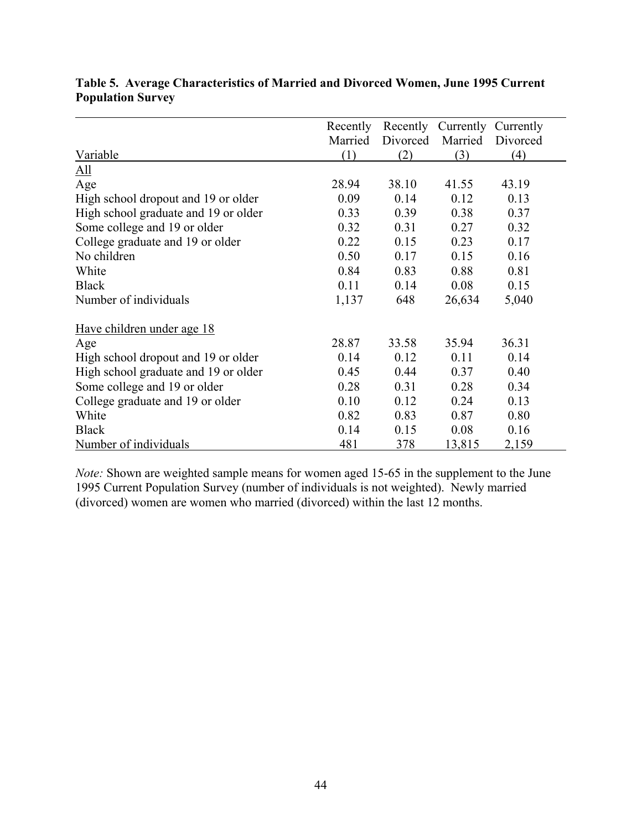|                                      | Recently |          | Recently Currently Currently |          |
|--------------------------------------|----------|----------|------------------------------|----------|
|                                      | Married  | Divorced | Married                      | Divorced |
| Variable                             | (1)      | (2)      | (3)                          | (4)      |
| $\underline{All}$                    |          |          |                              |          |
| Age                                  | 28.94    | 38.10    | 41.55                        | 43.19    |
| High school dropout and 19 or older  | 0.09     | 0.14     | 0.12                         | 0.13     |
| High school graduate and 19 or older | 0.33     | 0.39     | 0.38                         | 0.37     |
| Some college and 19 or older         | 0.32     | 0.31     | 0.27                         | 0.32     |
| College graduate and 19 or older     | 0.22     | 0.15     | 0.23                         | 0.17     |
| No children                          | 0.50     | 0.17     | 0.15                         | 0.16     |
| White                                | 0.84     | 0.83     | 0.88                         | 0.81     |
| <b>Black</b>                         | 0.11     | 0.14     | 0.08                         | 0.15     |
| Number of individuals                | 1,137    | 648      | 26,634                       | 5,040    |
| Have children under age 18           |          |          |                              |          |
| Age                                  | 28.87    | 33.58    | 35.94                        | 36.31    |
| High school dropout and 19 or older  | 0.14     | 0.12     | 0.11                         | 0.14     |
| High school graduate and 19 or older | 0.45     | 0.44     | 0.37                         | 0.40     |
| Some college and 19 or older         | 0.28     | 0.31     | 0.28                         | 0.34     |
| College graduate and 19 or older     | 0.10     | 0.12     | 0.24                         | 0.13     |
| White                                | 0.82     | 0.83     | 0.87                         | 0.80     |
| <b>Black</b>                         | 0.14     | 0.15     | 0.08                         | 0.16     |
| Number of individuals                | 481      | 378      | 13,815                       | 2,159    |

# **Table 5. Average Characteristics of Married and Divorced Women, June 1995 Current Population Survey**

*Note:* Shown are weighted sample means for women aged 15-65 in the supplement to the June 1995 Current Population Survey (number of individuals is not weighted). Newly married (divorced) women are women who married (divorced) within the last 12 months.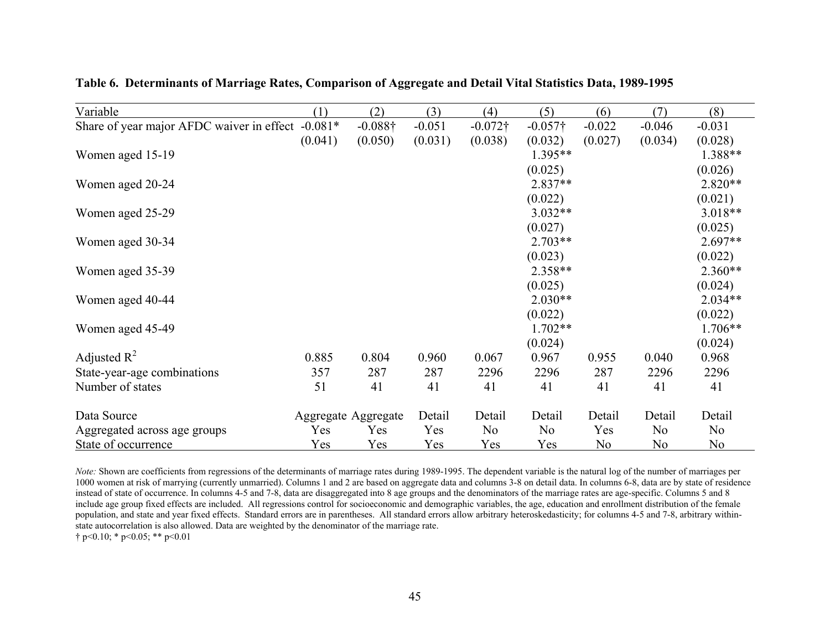| Variable                                  | (1)       | (2)                 | (3)      | (4)             | (5)            | (6)            | (7)            | (8)            |
|-------------------------------------------|-----------|---------------------|----------|-----------------|----------------|----------------|----------------|----------------|
| Share of year major AFDC waiver in effect | $-0.081*$ | $-0.088\dagger$     | $-0.051$ | $-0.072\dagger$ | $-0.057$ †     | $-0.022$       | $-0.046$       | $-0.031$       |
|                                           | (0.041)   | (0.050)             | (0.031)  | (0.038)         | (0.032)        | (0.027)        | (0.034)        | (0.028)        |
| Women aged 15-19                          |           |                     |          |                 | 1.395**        |                |                | 1.388**        |
|                                           |           |                     |          |                 | (0.025)        |                |                | (0.026)        |
| Women aged 20-24                          |           |                     |          |                 | $2.837**$      |                |                | 2.820**        |
|                                           |           |                     |          |                 | (0.022)        |                |                | (0.021)        |
| Women aged 25-29                          |           |                     |          |                 | 3.032**        |                |                | 3.018**        |
|                                           |           |                     |          |                 | (0.027)        |                |                | (0.025)        |
| Women aged 30-34                          |           |                     |          |                 | 2.703**        |                |                | $2.697**$      |
|                                           |           |                     |          |                 | (0.023)        |                |                | (0.022)        |
| Women aged 35-39                          |           |                     |          |                 | 2.358**        |                |                | $2.360**$      |
|                                           |           |                     |          |                 | (0.025)        |                |                | (0.024)        |
| Women aged 40-44                          |           |                     |          |                 | $2.030**$      |                |                | $2.034**$      |
|                                           |           |                     |          |                 | (0.022)        |                |                | (0.022)        |
| Women aged 45-49                          |           |                     |          |                 | 1.702**        |                |                | 1.706**        |
|                                           |           |                     |          |                 | (0.024)        |                |                | (0.024)        |
| Adjusted $R^2$                            | 0.885     | 0.804               | 0.960    | 0.067           | 0.967          | 0.955          | 0.040          | 0.968          |
| State-year-age combinations               | 357       | 287                 | 287      | 2296            | 2296           | 287            | 2296           | 2296           |
| Number of states                          | 51        | 41                  | 41       | 41              | 41             | 41             | 41             | 41             |
| Data Source                               |           | Aggregate Aggregate | Detail   | Detail          | Detail         | Detail         | Detail         | Detail         |
| Aggregated across age groups              | Yes       | Yes                 | Yes      | No              | N <sub>0</sub> | Yes            | N <sub>0</sub> | N <sub>0</sub> |
| State of occurrence                       | Yes       | Yes                 | Yes      | Yes             | Yes            | N <sub>0</sub> | N <sub>o</sub> | No             |

**Table 6. Determinants of Marriage Rates, Comparison of Aggregate and Detail Vital Statistics Data, 1989-1995** 

*Note:* Shown are coefficients from regressions of the determinants of marriage rates during 1989-1995. The dependent variable is the natural log of the number of marriages per 1000 women at risk of marrying (currently unmarried). Columns 1 and 2 are based on aggregate data and columns 3-8 on detail data. In columns 6-8, data are by state of residence instead of state of occurrence. In columns 4-5 and 7-8, data are disaggregated into 8 age groups and the denominators of the marriage rates are age-specific. Columns 5 and 8 include age group fixed effects are included. All regressions control for socioeconomic and demographic variables, the age, education and enrollment distribution of the female population, and state and year fixed effects. Standard errors are in parentheses. All standard errors allow arbitrary heteroskedasticity; for columns 4-5 and 7-8, arbitrary withinstate autocorrelation is also allowed. Data are weighted by the denominator of the marriage rate.

 $\dagger$  p<0.10; \* p<0.05; \*\* p<0.01